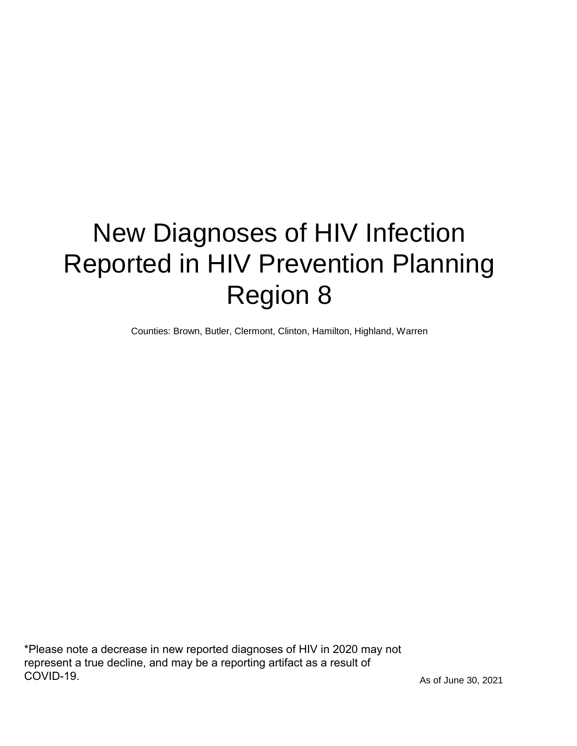# New Diagnoses of HIV Infection Reported in HIV Prevention Planning Region 8

Counties: Brown, Butler, Clermont, Clinton, Hamilton, Highland, Warren

\*Please note a decrease in new reported diagnoses of HIV in 2020 may not represent a true decline, and may be a reporting artifact as a result of COVID-19.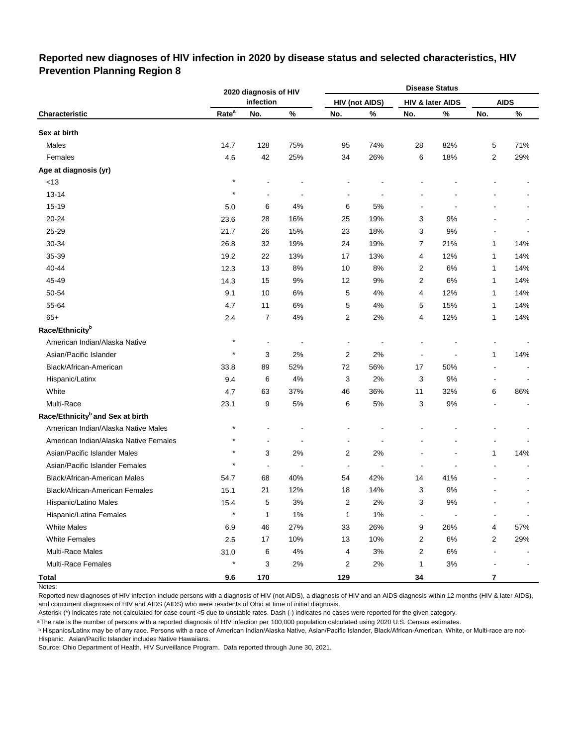### **Reported new diagnoses of HIV infection in 2020 by disease status and selected characteristics, HIV Prevention Planning Region 8**

|                                              |                   | 2020 diagnosis of HIV    |                          |                          |                       |                          | <b>Disease Status</b> |                |             |
|----------------------------------------------|-------------------|--------------------------|--------------------------|--------------------------|-----------------------|--------------------------|-----------------------|----------------|-------------|
|                                              |                   | infection                |                          |                          | <b>HIV (not AIDS)</b> |                          | HIV & later AIDS      |                | <b>AIDS</b> |
| Characteristic                               | Rate <sup>a</sup> | No.                      | $\%$                     | No.                      | %                     | No.                      | %                     | No.            | $\%$        |
| Sex at birth                                 |                   |                          |                          |                          |                       |                          |                       |                |             |
| Males                                        | 14.7              | 128                      | 75%                      | 95                       | 74%                   | 28                       | 82%                   | 5              | 71%         |
| Females                                      | 4.6               | 42                       | 25%                      | 34                       | 26%                   | 6                        | 18%                   | 2              | 29%         |
| Age at diagnosis (yr)                        |                   |                          |                          |                          |                       |                          |                       |                |             |
| $<13$                                        | $\star$           |                          |                          |                          |                       |                          |                       |                |             |
| $13 - 14$                                    | $\star$           |                          |                          |                          |                       |                          |                       |                |             |
| 15-19                                        | 5.0               | 6                        | 4%                       | 6                        | 5%                    |                          |                       |                |             |
| 20-24                                        | 23.6              | 28                       | 16%                      | 25                       | 19%                   | 3                        | 9%                    |                |             |
| 25-29                                        | 21.7              | 26                       | 15%                      | 23                       | 18%                   | 3                        | 9%                    |                |             |
| 30-34                                        | 26.8              | 32                       | 19%                      | 24                       | 19%                   | 7                        | 21%                   | 1              | 14%         |
| 35-39                                        | 19.2              | 22                       | 13%                      | 17                       | 13%                   | 4                        | 12%                   | 1              | 14%         |
| 40-44                                        | 12.3              | 13                       | 8%                       | 10                       | 8%                    | 2                        | 6%                    | 1              | 14%         |
| 45-49                                        | 14.3              | 15                       | 9%                       | 12                       | 9%                    | $\overline{c}$           | 6%                    | 1              | 14%         |
| 50-54                                        | 9.1               | 10                       | 6%                       | 5                        | 4%                    | 4                        | 12%                   | 1              | 14%         |
| 55-64                                        | 4.7               | 11                       | 6%                       | 5                        | 4%                    | 5                        | 15%                   | 1              | 14%         |
| $65+$                                        | 2.4               | $\overline{7}$           | 4%                       | 2                        | 2%                    | 4                        | 12%                   | 1              | 14%         |
| Race/Ethnicity <sup>b</sup>                  |                   |                          |                          |                          |                       |                          |                       |                |             |
| American Indian/Alaska Native                | $\star$           | $\overline{\phantom{a}}$ | $\overline{\phantom{a}}$ | $\overline{\phantom{a}}$ |                       |                          |                       |                |             |
| Asian/Pacific Islander                       | $\star$           | 3                        | 2%                       | 2                        | 2%                    | $\overline{\phantom{a}}$ |                       | 1              | 14%         |
| Black/African-American                       | 33.8              | 89                       | 52%                      | 72                       | 56%                   | 17                       | 50%                   |                |             |
| Hispanic/Latinx                              | 9.4               | 6                        | 4%                       | 3                        | 2%                    | 3                        | 9%                    | ۰              |             |
| White                                        | 4.7               | 63                       | 37%                      | 46                       | 36%                   | 11                       | 32%                   | 6              | 86%         |
| Multi-Race                                   | 23.1              | 9                        | 5%                       | 6                        | 5%                    | 3                        | $9\%$                 |                |             |
| Race/Ethnicity <sup>b</sup> and Sex at birth |                   |                          |                          |                          |                       |                          |                       |                |             |
| American Indian/Alaska Native Males          | $^\star$          |                          |                          |                          |                       |                          |                       |                |             |
| American Indian/Alaska Native Females        | $\star$           |                          | ÷,                       |                          |                       |                          |                       |                |             |
| Asian/Pacific Islander Males                 | $\star$           | 3                        | 2%                       | 2                        | 2%                    |                          |                       | 1              | 14%         |
| Asian/Pacific Islander Females               | $\star$           | $\overline{a}$           | ÷,                       | $\blacksquare$           | $\overline{a}$        |                          |                       |                |             |
| Black/African-American Males                 | 54.7              | 68                       | 40%                      | 54                       | 42%                   | 14                       | 41%                   |                |             |
| <b>Black/African-American Females</b>        | 15.1              | 21                       | 12%                      | 18                       | 14%                   | 3                        | 9%                    |                |             |
| Hispanic/Latino Males                        | 15.4              | 5                        | $3%$                     | $\overline{c}$           | $2\%$                 | 3                        | $9\%$                 |                |             |
| Hispanic/Latina Females                      | $\star$           | 1                        | $1\%$                    | $\mathbf{1}$             | 1%                    | $\blacksquare$           |                       |                |             |
| <b>White Males</b>                           | 6.9               | 46                       | 27%                      | 33                       | 26%                   | 9                        | 26%                   | 4              | 57%         |
| <b>White Females</b>                         | 2.5               | 17                       | 10%                      | 13                       | 10%                   | $\overline{c}$           | $6\%$                 | 2              | 29%         |
| Multi-Race Males                             | 31.0              | 6                        | $4\%$                    | 4                        | $3%$                  | $\overline{c}$           | $6\%$                 | $\blacksquare$ |             |
| <b>Multi-Race Females</b>                    | $\star$           | 3                        | $2\%$                    | $\overline{2}$           | 2%                    | $\mathbf{1}$             | $3%$                  |                |             |
| <b>Total</b>                                 | 9.6               | 170                      |                          | 129                      |                       | 34                       |                       | $\bf 7$        |             |

Notes:

Reported new diagnoses of HIV infection include persons with a diagnosis of HIV (not AIDS), a diagnosis of HIV and an AIDS diagnosis within 12 months (HIV & later AIDS), and concurrent diagnoses of HIV and AIDS (AIDS) who were residents of Ohio at time of initial diagnosis.

Asterisk (\*) indicates rate not calculated for case count <5 due to unstable rates. Dash (-) indicates no cases were reported for the given category.

<sup>a</sup>The rate is the number of persons with a reported diagnosis of HIV infection per 100,000 population calculated using 2020 U.S. Census estimates.

ᵇ Hispanics/Latinx may be of any race. Persons with a race of American Indian/Alaska Native, Asian/Pacific Islander, Black/African-American, White, or Multi-race are not-Hispanic. Asian/Pacific Islander includes Native Hawaiians.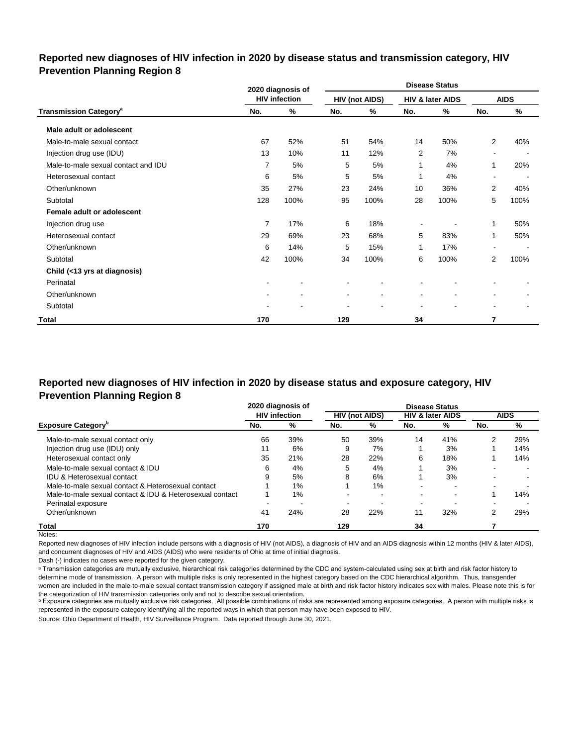### **Reported new diagnoses of HIV infection in 2020 by disease status and transmission category, HIV Prevention Planning Region 8**

|                                          |                | 2020 diagnosis of    |                          |                       |                          | <b>Disease Status</b> |                |             |
|------------------------------------------|----------------|----------------------|--------------------------|-----------------------|--------------------------|-----------------------|----------------|-------------|
|                                          |                | <b>HIV infection</b> |                          | <b>HIV (not AIDS)</b> |                          | HIV & later AIDS      |                | <b>AIDS</b> |
| <b>Transmission Category<sup>a</sup></b> | No.            | %                    | No.                      | %                     | No.                      | %                     | No.            | %           |
| Male adult or adolescent                 |                |                      |                          |                       |                          |                       |                |             |
| Male-to-male sexual contact              | 67             | 52%                  | 51                       | 54%                   | 14                       | 50%                   | $\overline{2}$ | 40%         |
| Injection drug use (IDU)                 | 13             | 10%                  | 11                       | 12%                   | 2                        | 7%                    | $\blacksquare$ |             |
| Male-to-male sexual contact and IDU      | $\overline{7}$ | 5%                   | 5                        | 5%                    | 1                        | 4%                    | 1              | 20%         |
| Heterosexual contact                     | 6              | 5%                   | 5                        | 5%                    | 1                        | 4%                    | $\blacksquare$ |             |
| Other/unknown                            | 35             | 27%                  | 23                       | 24%                   | 10                       | 36%                   | $\overline{2}$ | 40%         |
| Subtotal                                 | 128            | 100%                 | 95                       | 100%                  | 28                       | 100%                  | 5              | 100%        |
| Female adult or adolescent               |                |                      |                          |                       |                          |                       |                |             |
| Injection drug use                       | 7              | 17%                  | 6                        | 18%                   |                          |                       | 1              | 50%         |
| Heterosexual contact                     | 29             | 69%                  | 23                       | 68%                   | 5                        | 83%                   | 1              | 50%         |
| Other/unknown                            | 6              | 14%                  | 5                        | 15%                   | 1                        | 17%                   | $\blacksquare$ |             |
| Subtotal                                 | 42             | 100%                 | 34                       | 100%                  | 6                        | 100%                  | 2              | 100%        |
| Child (<13 yrs at diagnosis)             |                |                      |                          |                       |                          |                       |                |             |
| Perinatal                                |                |                      |                          |                       |                          |                       |                |             |
| Other/unknown                            |                |                      | $\overline{\phantom{a}}$ | $\blacksquare$        | $\overline{\phantom{a}}$ | $\blacksquare$        | ۰              |             |
| Subtotal                                 |                |                      |                          |                       |                          |                       | $\blacksquare$ |             |
| Total                                    | 170            |                      | 129                      |                       | 34                       |                       | 7              |             |

## **Reported new diagnoses of HIV infection in 2020 by disease status and exposure category, HIV Prevention Planning Region 8**

|                                                          | 2020 diagnosis of    |       | <b>Disease Status</b> |     |     |                             |     |             |
|----------------------------------------------------------|----------------------|-------|-----------------------|-----|-----|-----------------------------|-----|-------------|
|                                                          | <b>HIV</b> infection |       | <b>HIV (not AIDS)</b> |     |     | <b>HIV &amp; later AIDS</b> |     | <b>AIDS</b> |
| <b>Exposure Category</b>                                 | No.                  | %     | No.                   | %   | No. | %                           | No. | %           |
| Male-to-male sexual contact only                         | 66                   | 39%   | 50                    | 39% | 14  | 41%                         | 2   | 29%         |
| Injection drug use (IDU) only                            | 11                   | 6%    | 9                     | 7%  |     | 3%                          |     | 14%         |
| Heterosexual contact only                                | 35                   | 21%   | 28                    | 22% | 6   | 18%                         |     | 14%         |
| Male-to-male sexual contact & IDU                        | 6                    | 4%    | 5                     | 4%  |     | 3%                          |     |             |
| <b>IDU &amp; Heterosexual contact</b>                    | 9                    | 5%    | 8                     | 6%  |     | 3%                          |     |             |
| Male-to-male sexual contact & Heterosexual contact       |                      | $1\%$ |                       | 1%  | -   | -                           |     |             |
| Male-to-male sexual contact & IDU & Heterosexual contact |                      | $1\%$ |                       |     |     | $\overline{\phantom{0}}$    |     | 14%         |
| Perinatal exposure                                       |                      |       |                       |     |     |                             |     |             |
| Other/unknown                                            | 41                   | 24%   | 28                    | 22% | 11  | 32%                         | 2   | 29%         |
| Total                                                    | 170                  |       | 129                   |     | 34  |                             |     |             |

Notes:

Reported new diagnoses of HIV infection include persons with a diagnosis of HIV (not AIDS), a diagnosis of HIV and an AIDS diagnosis within 12 months (HIV & later AIDS), and concurrent diagnoses of HIV and AIDS (AIDS) who were residents of Ohio at time of initial diagnosis.

Dash (-) indicates no cases were reported for the given category.

a Transmission categories are mutually exclusive, hierarchical risk categories determined by the CDC and system-calculated using sex at birth and risk factor history to determine mode of transmission. A person with multiple risks is only represented in the highest category based on the CDC hierarchical algorithm. Thus, transgender women are included in the male-to-male sexual contact transmission category if assigned male at birth and risk factor history indicates sex with males. Please note this is for the categorization of HIV transmission categories only and not to describe sexual orientation.

**b** Exposure categories are mutually exclusive risk categories. All possible combinations of risks are represented among exposure categories. A person with multiple risks is represented in the exposure category identifying all the reported ways in which that person may have been exposed to HIV.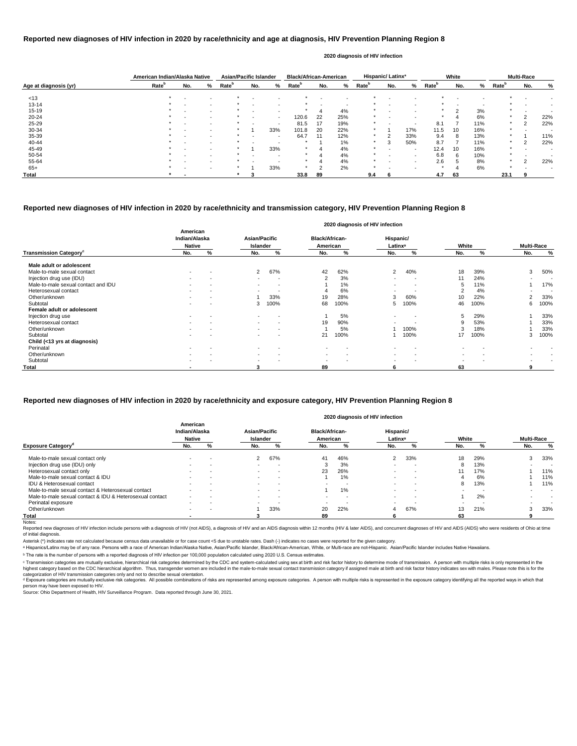|                       | American Indian/Alaska Native |                          |                          | Asian/Pacific Islander |                |                          | <b>Black/African-American</b> |     |     |                          | Hispanic/Latinx <sup>ª</sup> |                          |                   | White |     |                   | <b>Multi-Race</b> |     |
|-----------------------|-------------------------------|--------------------------|--------------------------|------------------------|----------------|--------------------------|-------------------------------|-----|-----|--------------------------|------------------------------|--------------------------|-------------------|-------|-----|-------------------|-------------------|-----|
| Age at diagnosis (yr) | Rate <sup>b</sup>             | No.                      | %                        | Rate <sup>b</sup>      | No.            | %                        | Rate <sup>b</sup>             | No. | %   | <b>Rate</b> <sup>b</sup> | No.                          | %                        | Rate <sup>b</sup> | No.   | %   | Rate <sup>p</sup> | No.               | %   |
| < 13                  |                               |                          |                          |                        |                |                          |                               |     |     |                          |                              |                          |                   |       |     |                   |                   |     |
| $13 - 14$             |                               |                          | $\overline{\phantom{0}}$ |                        |                |                          |                               |     |     |                          |                              |                          |                   |       |     |                   |                   |     |
| $15 - 19$             |                               |                          | $\sim$                   |                        | $\,$ $\,$      |                          |                               |     | 4%  |                          | $\,$ $\,$                    |                          | $\ast$            | ົ     | 3%  | $\star$           | . .               |     |
| 20-24                 |                               |                          |                          |                        |                | $\overline{\phantom{a}}$ | 120.6                         | 22  | 25% |                          |                              |                          |                   |       | 6%  | $\star$           | 2                 | 22% |
| $25 - 29$             |                               | $\overline{\phantom{0}}$ |                          |                        | $\,$ $\,$      |                          | 81.5                          | 17  | 19% |                          |                              | $\overline{\phantom{0}}$ | 8.1               |       | 11% | $\star$           | 2                 | 22% |
| 30-34                 |                               |                          | $\sim$                   |                        |                | 33%                      | 101.8                         | 20  | 22% |                          |                              | 17%                      | 11.5              | 10    | 16% | $\star$           |                   |     |
| 35-39                 |                               |                          | $\overline{\phantom{0}}$ |                        | $\blacksquare$ | $\qquad \qquad$          | 64.7                          | 11  | 12% | $\ast$                   |                              | 33%                      | 9.4               | 8     | 13% | $\star$           |                   | 11% |
| 40-44                 |                               |                          |                          |                        |                |                          |                               |     | 1%  |                          |                              | 50%                      | 8.7               |       | 11% |                   | 2                 | 22% |
| 45-49                 |                               |                          |                          |                        |                | 33%                      | $\star$                       |     | 4%  | $\star$                  | $\sim$                       | $\overline{\phantom{0}}$ | 12.4              | 10    | 16% |                   |                   |     |
| 50-54                 |                               |                          | $\sim$                   |                        |                |                          |                               |     | 4%  |                          |                              | $\blacksquare$           | 6.8               | 6     | 10% | $\star$           |                   |     |
| 55-64                 |                               |                          | $\overline{\phantom{0}}$ |                        |                |                          |                               |     | 4%  |                          |                              |                          | 2.6               | G     | 8%  | $\star$           | $\mathcal{P}$     | 22% |
| $65+$                 |                               |                          | $\overline{\phantom{0}}$ |                        |                | 33%                      |                               |     | 2%  |                          |                              |                          |                   |       | 6%  | $\star$           |                   |     |
| Total                 |                               |                          |                          |                        |                |                          | 33.8                          | 89  |     | 9.4                      | n                            |                          | 4.7               | 63    |     | 23.1              |                   |     |

Reported new diagnoses of HIV infection include persons with a diagnosis of HIV (not AIDS), a diagnosis of HIV and an AIDS diagnosis within 12 months (HIV & later AIDS), and concurrent diagnoses of HIV and AIDS (AIDS) who of initial diagnosis.

|                                           |                                            |   |                                  |                          |                                   | 2020 diagnosis of HIV infection |                                  |                          |                          |      |                          |           |
|-------------------------------------------|--------------------------------------------|---|----------------------------------|--------------------------|-----------------------------------|---------------------------------|----------------------------------|--------------------------|--------------------------|------|--------------------------|-----------|
|                                           | American<br>Indian/Alaska<br><b>Native</b> |   | <b>Asian/Pacific</b><br>Islander |                          | <b>Black/African-</b><br>American |                                 | Hispanic/<br>Latinx <sup>a</sup> |                          | White                    |      | <b>Multi-Race</b>        |           |
| <b>Transmission Category</b> <sup>c</sup> | No.                                        | % | No.                              | %                        | No.                               | %                               | No.                              | %                        | No.                      | %    | No.                      | %         |
| Male adult or adolescent                  |                                            |   |                                  |                          |                                   |                                 |                                  |                          |                          |      |                          |           |
| Male-to-male sexual contact               | $\sim$                                     |   | $\overline{2}$                   | 67%                      | 42                                | 62%                             | 2                                | 40%                      | 18                       | 39%  | 3                        | 50%       |
| Injection drug use (IDU)                  | $\blacksquare$                             |   | $\sim$                           | $\overline{\phantom{a}}$ | $\overline{2}$                    | 3%                              |                                  |                          | 11                       | 24%  | $\overline{\phantom{a}}$ |           |
| Male-to-male sexual contact and IDU       | $\,$ $\,$                                  |   | $\sim$                           | $\overline{\phantom{a}}$ |                                   | 1%                              |                                  |                          | 5                        | 11%  |                          | 17%       |
| Heterosexual contact                      | $\blacksquare$                             |   | $\sim$                           | $\overline{\phantom{a}}$ |                                   | 6%                              |                                  |                          | 2                        | 4%   |                          | $\,$ $\,$ |
| Other/unknown                             |                                            |   |                                  | 33%                      | 19                                | 28%                             |                                  | 60%                      |                          | 22%  | っ                        | 33%       |
| Subtotal                                  |                                            |   | 3                                | 100%                     | 68                                | 100%                            | 5                                | 100%                     | 46                       | 100% | 6                        | 100%      |
| Female adult or adolescent                |                                            |   |                                  |                          |                                   |                                 |                                  |                          |                          |      |                          |           |
| Injection drug use                        | $\sim$                                     |   | $\sim$                           | $\overline{\phantom{a}}$ |                                   | 5%                              | $\blacksquare$                   |                          | 5                        | 29%  |                          | 33%       |
| Heterosexual contact                      | $\overline{\phantom{0}}$                   |   | $\sim$                           | $\sim$                   | 19                                | 90%                             |                                  |                          | 9                        | 53%  |                          | 33%       |
| Other/unknown                             |                                            |   | $\sim$                           | $\overline{\phantom{a}}$ |                                   | 5%                              |                                  | 100%                     | 3                        | 18%  |                          | 33%       |
| Subtotal                                  |                                            |   |                                  |                          | 21                                | 100%                            |                                  | 100%                     | 17                       | 100% | 3                        | 100%      |
| Child (<13 yrs at diagnosis)              |                                            |   |                                  |                          |                                   |                                 |                                  |                          |                          |      |                          |           |
| Perinatal                                 | $\sim$                                     |   | $\sim$                           | $\overline{\phantom{a}}$ | $\blacksquare$                    | $\overline{\phantom{a}}$        | $\blacksquare$                   | $\overline{\phantom{a}}$ | $\sim$                   |      | $\blacksquare$           |           |
| Other/unknown                             |                                            |   | $\sim$                           | $\overline{\phantom{a}}$ | $\blacksquare$                    | $\overline{\phantom{a}}$        | $\blacksquare$                   | $\blacksquare$           | $\overline{\phantom{0}}$ |      |                          |           |
| Subtotal                                  |                                            |   |                                  |                          | $\sim$                            |                                 | $\overline{\phantom{0}}$         |                          |                          |      |                          |           |
| Total                                     |                                            |   | 3                                |                          | 89                                |                                 | 6                                |                          | 63                       |      | 9                        |           |

© Transmission categories are mutually exclusive, hierarchical risk categories determined by the CDC and system-calculated using sex at birth and risk factor history to determine mode of transmission. A person with multip highest category based on the CDC hierarchical algorithm. Thus, transgender women are included in the male-to-male sexual contact transmission category if assigned male at birth and risk factor history indicates sex with m categorization of HIV transmission categories only and not to describe sexual orientation.

d Exposure categories are mutually exclusive risk categories. All possible combinations of risks are represented among exposure categories. A person with multiple risks is represented in the exposure category identifying a person may have been exposed to HIV.

Source: Ohio Department of Health, HIV Surveillance Program. Data reported through June 30, 2021.

## **Reported new diagnoses of HIV infection in 2020 by race/ethnicity and age at diagnosis, HIV Prevention Planning Region 8**

#### **2020 diagnosis of HIV infection**

## **Reported new diagnoses of HIV infection in 2020 by race/ethnicity and transmission category, HIV Prevention Planning Region 8**

|                                                          |                                            |        |                                  |                          |                                   |     | 2020 diagnosis of HIV infection  |     |       |     |                   |        |
|----------------------------------------------------------|--------------------------------------------|--------|----------------------------------|--------------------------|-----------------------------------|-----|----------------------------------|-----|-------|-----|-------------------|--------|
|                                                          | American<br>Indian/Alaska<br><b>Native</b> |        | <b>Asian/Pacific</b><br>Islander |                          | <b>Black/African-</b><br>American |     | Hispanic/<br>Latinx <sup>a</sup> |     | White |     | <b>Multi-Race</b> |        |
| <b>Exposure Category</b> <sup>a</sup>                    | No.                                        | %      | No.                              | %                        | No.                               | %   | No.                              | ℅   | No.   |     | No.               | %      |
| Male-to-male sexual contact only                         |                                            |        | $\mathbf{2}^{\circ}$             | 67%                      | 41                                | 46% | $\mathbf{2}^{\circ}$             | 33% | 18    | 29% | 3                 | 33%    |
| Injection drug use (IDU) only                            | $\overline{\phantom{a}}$                   | . .    | $\sim$                           |                          | 3                                 | 3%  | $\overline{\phantom{0}}$         |     |       | 13% |                   |        |
| Heterosexual contact only                                | $\sim$                                     | $\sim$ | $\sim$                           | $\overline{\phantom{a}}$ | 23                                | 26% | $\overline{\phantom{0}}$         |     |       | 17% |                   | 11%    |
| Male-to-male sexual contact & IDU                        |                                            | . .    | $\sim$                           | . .                      |                                   | 1%  | -                                |     |       | 6%  |                   | 11%    |
| <b>IDU &amp; Heterosexual contact</b>                    |                                            |        | $\sim$                           |                          |                                   |     | -                                |     | ŏ     | 13% |                   | 11%    |
| Male-to-male sexual contact & Heterosexual contact       |                                            |        | $\sim$                           | $\overline{\phantom{a}}$ |                                   | 1%  | $\overline{\phantom{0}}$         |     |       |     |                   | $\sim$ |
| Male-to-male sexual contact & IDU & Heterosexual contact | $\overline{\phantom{a}}$                   | . .    | $\sim$                           | $\overline{\phantom{a}}$ |                                   |     | $\overline{\phantom{0}}$         |     |       | 2%  |                   |        |
| Perinatal exposure                                       | $\sim$                                     | $\sim$ | $\sim$                           | $\overline{\phantom{a}}$ |                                   |     | $\overline{\phantom{0}}$         |     |       |     |                   | $\,$   |
| Other/unknown                                            | $\overline{\phantom{a}}$                   | $\sim$ |                                  | 33%                      | 20                                | 22% |                                  | 67% | 13    | 21% | ◠<br>-5           | 33%    |
| Total                                                    |                                            |        |                                  |                          | 89                                |     |                                  |     | 63    |     |                   |        |
| Notes:                                                   |                                            |        |                                  |                          |                                   |     |                                  |     |       |     |                   |        |

### **Reported new diagnoses of HIV infection in 2020 by race/ethnicity and exposure category, HIV Prevention Planning Region 8**

Asterisk (\*) indicates rate not calculated because census data unavailable or for case count <5 due to unstable rates. Dash (-) indicates no cases were reported for the given category.

a Hispanics/Latinx may be of any race. Persons with a race of American Indian/Alaska Native, Asian/Pacific Islander, Black/African-American, White, or Multi-race are not-Hispanic. Asian/Pacific Islander includes Native Haw

ᵇ The rate is the number of persons with a reported diagnosis of HIV infection per 100,000 population calculated using 2020 U.S. Census estimates.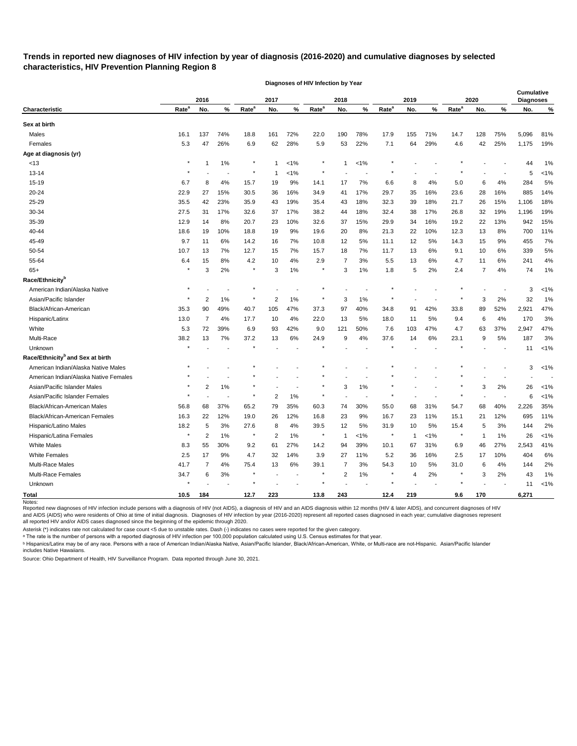# **Trends in reported new diagnoses of HIV infection by year of diagnosis (2016-2020) and cumulative diagnoses by selected characteristics, HIV Prevention Planning Region 8**

|                                              |                   | 2016           |       |                   | 2017                     |         |                   | 2018           |         |                   | 2019         |         |                   | 2020         |     | <b>Cumulative</b><br><b>Diagnoses</b> |         |
|----------------------------------------------|-------------------|----------------|-------|-------------------|--------------------------|---------|-------------------|----------------|---------|-------------------|--------------|---------|-------------------|--------------|-----|---------------------------------------|---------|
| Characteristic                               | Rate <sup>a</sup> | No.            | %     | Rate <sup>a</sup> | No.                      | %       | Rate <sup>a</sup> | No.            | %       | Rate <sup>a</sup> | No.          | %       | Rate <sup>a</sup> | No.          | %   | No.                                   | %       |
| Sex at birth                                 |                   |                |       |                   |                          |         |                   |                |         |                   |              |         |                   |              |     |                                       |         |
| Males                                        | 16.1              | 137            | 74%   | 18.8              | 161                      | 72%     | 22.0              | 190            | 78%     | 17.9              | 155          | 71%     | 14.7              | 128          | 75% | 5,096                                 | 81%     |
| Females                                      | 5.3               | 47             | 26%   | 6.9               | 62                       | 28%     | 5.9               | 53             | 22%     | 7.1               | 64           | 29%     | 4.6               | 42           | 25% | 1,175                                 | 19%     |
| Age at diagnosis (yr)                        |                   |                |       |                   |                          |         |                   |                |         |                   |              |         |                   |              |     |                                       |         |
| <13                                          |                   |                | 1%    | $\star$           | -1                       | $< 1\%$ | $\star$           |                | $< 1\%$ |                   |              |         |                   |              |     | 44                                    | 1%      |
| $13 - 14$                                    |                   |                |       | $\star$           | -1                       | $< 1\%$ |                   |                |         |                   |              |         |                   |              |     | 5                                     | $< 1\%$ |
| 15-19                                        | 6.7               | 8              | 4%    | 15.7              | 19                       | 9%      | 14.1              | 17             | 7%      | 6.6               | 8            | 4%      | 5.0               | 6            | 4%  | 284                                   | 5%      |
| 20-24                                        | 22.9              | 27             | 15%   | 30.5              | 36                       | 16%     | 34.9              | 41             | 17%     | 29.7              | 35           | 16%     | 23.6              | 28           | 16% | 885                                   | 14%     |
| 25-29                                        | 35.5              | 42             | 23%   | 35.9              | 43                       | 19%     | 35.4              | 43             | 18%     | 32.3              | 39           | 18%     | 21.7              | 26           | 15% | 1,106                                 | 18%     |
| 30-34                                        | 27.5              | 31             | 17%   | 32.6              | 37                       | 17%     | 38.2              | 44             | 18%     | 32.4              | 38           | 17%     | 26.8              | 32           | 19% | 1,196                                 | 19%     |
| 35-39                                        | 12.9              | 14             | 8%    | 20.7              | 23                       | 10%     | 32.6              | 37             | 15%     | 29.9              | 34           | 16%     | 19.2              | 22           | 13% | 942                                   | 15%     |
| 40-44                                        | 18.6              | 19             | 10%   | 18.8              | 19                       | 9%      | 19.6              | 20             | 8%      | 21.3              | 22           | 10%     | 12.3              | 13           | 8%  | 700                                   | 11%     |
| 45-49                                        | 9.7               | 11             | 6%    | 14.2              | 16                       | 7%      | 10.8              | 12             | 5%      | 11.1              | 12           | 5%      | 14.3              | 15           | 9%  | 455                                   | 7%      |
| 50-54                                        | 10.7              | 13             | 7%    | 12.7              | 15                       | 7%      | 15.7              | 18             | 7%      | 11.7              | 13           | 6%      | 9.1               | 10           | 6%  | 339                                   | 5%      |
| 55-64                                        | 6.4               | 15             | 8%    | 4.2               | 10                       | 4%      | 2.9               | 7              | 3%      | 5.5               | 13           | 6%      | 4.7               | 11           | 6%  | 241                                   | 4%      |
| $65+$                                        |                   | 3              | 2%    | $\star$           | 3                        | 1%      |                   | 3              | 1%      | 1.8               | 5            | 2%      | 2.4               | 7            | 4%  | 74                                    | 1%      |
| Race/Ethnicity <sup>b</sup>                  |                   |                |       |                   |                          |         |                   |                |         |                   |              |         |                   |              |     |                                       |         |
| American Indian/Alaska Native                |                   |                |       |                   |                          |         |                   |                |         |                   |              |         |                   |              |     | 3                                     | $< 1\%$ |
| Asian/Pacific Islander                       |                   | 2              | 1%    |                   | $\overline{2}$           | 1%      |                   | 3              | 1%      |                   |              |         |                   | 3            | 2%  | 32                                    | 1%      |
| Black/African-American                       | 35.3              | 90             | 49%   | 40.7              | 105                      | 47%     | 37.3              | 97             | 40%     | 34.8              | 91           | 42%     | 33.8              | 89           | 52% | 2,921                                 | 47%     |
| Hispanic/Latinx                              | 13.0              | $\overline{7}$ | 4%    | 17.7              | 10                       | 4%      | 22.0              | 13             | 5%      | 18.0              | 11           | 5%      | 9.4               | 6            | 4%  | 170                                   | 3%      |
| White                                        | 5.3               | 72             | 39%   | 6.9               | 93                       | 42%     | 9.0               | 121            | 50%     | 7.6               | 103          | 47%     | 4.7               | 63           | 37% | 2,947                                 | 47%     |
| Multi-Race                                   | 38.2              | 13             | 7%    | 37.2              | 13                       | 6%      | 24.9              | 9              | 4%      | 37.6              | 14           | 6%      | 23.1              | 9            | 5%  | 187                                   | 3%      |
| Unknown                                      |                   |                |       |                   |                          |         |                   |                |         |                   |              |         |                   |              |     | 11                                    | $< 1\%$ |
| Race/Ethnicity <sup>b</sup> and Sex at birth |                   |                |       |                   |                          |         |                   |                |         |                   |              |         |                   |              |     |                                       |         |
| American Indian/Alaska Native Males          |                   |                |       |                   |                          |         |                   |                |         |                   |              |         |                   |              |     | 3                                     | $< 1\%$ |
| American Indian/Alaska Native Females        |                   |                |       |                   |                          |         |                   |                |         |                   |              |         |                   |              |     |                                       |         |
| Asian/Pacific Islander Males                 |                   | 2              | 1%    |                   |                          |         |                   | 3              | 1%      |                   |              |         |                   | 3            | 2%  | 26                                    | 1%      |
| Asian/Pacific Islander Females               |                   |                |       |                   | $\overline{2}$           | 1%      |                   |                |         |                   |              |         |                   |              |     | 6                                     | $< 1\%$ |
| Black/African-American Males                 | 56.8              | 68             | 37%   | 65.2              | 79                       | 35%     | 60.3              | 74             | 30%     | 55.0              | 68           | 31%     | 54.7              | 68           | 40% | 2,226                                 | 35%     |
| Black/African-American Females               | 16.3              | 22             | 12%   | 19.0              | 26                       | 12%     | 16.8              | 23             | 9%      | 16.7              | 23           | 11%     | 15.1              | 21           | 12% | 695                                   | 11%     |
| Hispanic/Latino Males                        | 18.2              | 5              | $3%$  | 27.6              | 8                        | 4%      | 39.5              | 12             | 5%      | 31.9              | 10           | 5%      | 15.4              | 5            | 3%  | 144                                   | 2%      |
| Hispanic/Latina Females                      | $^\star$          | $\overline{2}$ | $1\%$ | $\star$           | $\overline{2}$           | 1%      | $\star$           | $\mathbf{1}$   | $<1\%$  | $\star$           | $\mathbf{1}$ | $< 1\%$ | $\pmb{\ast}$      | $\mathbf{1}$ | 1%  | 26                                    | $< 1\%$ |
| White Males                                  | 8.3               | 55             | 30%   | 9.2               | 61                       | 27%     | 14.2              | 94             | 39%     | 10.1              | 67           | 31%     | 6.9               | 46           | 27% | 2,543                                 | 41%     |
| <b>White Females</b>                         | 2.5               | 17             | 9%    | 4.7               | 32                       | 14%     | 3.9               | 27             | 11%     | 5.2               | 36           | 16%     | 2.5               | 17           | 10% | 404                                   | 6%      |
| Multi-Race Males                             | 41.7              | $\overline{7}$ | 4%    | 75.4              | 13                       | $6\%$   | 39.1              | 7              | 3%      | 54.3              | 10           | 5%      | 31.0              | 6            | 4%  | 144                                   | 2%      |
| Multi-Race Females                           | 34.7              | 6              | 3%    | $\star$           | $\overline{\phantom{a}}$ | $\sim$  | $\star$           | $\overline{2}$ | 1%      | $\star$           | 4            | 2%      | $\star$           | 3            | 2%  | 43                                    | 1%      |
| Unknown                                      |                   |                |       | $\star$           |                          |         |                   |                |         |                   |              |         |                   |              |     | 11                                    | $< 1\%$ |
| <b>Total</b>                                 | 10.5              | 184            |       | 12.7              | 223                      |         | 13.8              | 243            |         | 12.4              | 219          |         | 9.6               | 170          |     | 6,271                                 |         |

**Diagnoses of HIV Infection by Year**

Reported new diagnoses of HIV infection include persons with a diagnosis of HIV (not AIDS), a diagnosis of HIV and an AIDS diagnosis within 12 months (HIV & later AIDS), and concurrent diagnoses of HIV and AIDS (AIDS) who were residents of Ohio at time of initial diagnosis. Diagnoses of HIV infection by year (2016-2020) represent all reported cases diagnosed in each year; cumulative diagnoses represent all reported HIV and/or AIDS cases diagnosed since the beginning of the epidemic through 2020.

Asterisk (\*) indicates rate not calculated for case count <5 due to unstable rates. Dash (-) indicates no cases were reported for the given category.

 $\,{}^{\rm a}$  The rate is the number of persons with a reported diagnosis of HIV infection per 100,000 population calculated using U.S. Census estimates for that year.

ᵇ Hispanics/Latinx may be of any race. Persons with a race of American Indian/Alaska Native, Asian/Pacific Islander, Black/African-American, White, or Multi-race are not-Hispanic. Asian/Pacific Islander includes Native Hawaiians.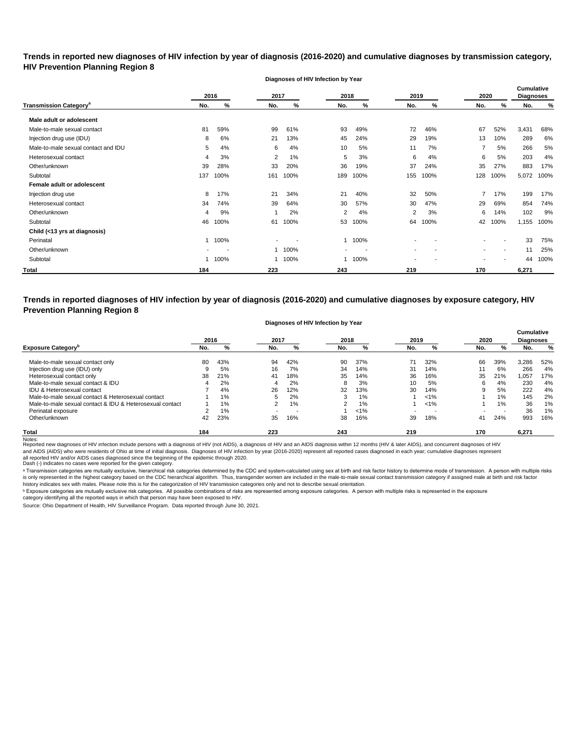**Trends in reported new diagnoses of HIV infection by year of diagnosis (2016-2020) and cumulative diagnoses by transmission category, HIV Prevention Planning Region 8**

**Diagnoses of HIV Infection by Year**

|                                          |     | 2016 | 2017 |      | 2018                     |      | 2019 |      | 2020 |        | <b>Cumulative</b><br><b>Diagnoses</b> |      |
|------------------------------------------|-----|------|------|------|--------------------------|------|------|------|------|--------|---------------------------------------|------|
| <b>Transmission Category<sup>®</sup></b> | No. | %    | No.  | %    | No.                      | %    | No.  | %    | No.  | %      | No.                                   | %    |
| Male adult or adolescent                 |     |      |      |      |                          |      |      |      |      |        |                                       |      |
| Male-to-male sexual contact              | 81  | 59%  | 99   | 61%  | 93                       | 49%  | 72   | 46%  | 67   | 52%    | 3,431                                 | 68%  |
| Injection drug use (IDU)                 | 8   | 6%   | 21   | 13%  | 45                       | 24%  | 29   | 19%  | 13   | 10%    | 289                                   | 6%   |
| Male-to-male sexual contact and IDU      | 5   | 4%   | 6    | 4%   | 10                       | 5%   | 11   | 7%   |      | 5%     | 266                                   | 5%   |
| Heterosexual contact                     | 4   | 3%   | 2    | 1%   | 5                        | 3%   | 6    | 4%   | 6    | 5%     | 203                                   | 4%   |
| Other/unknown                            | 39  | 28%  | 33   | 20%  | 36                       | 19%  | 37   | 24%  | 35   | 27%    | 883                                   | 17%  |
| Subtotal                                 | 137 | 100% | 161  | 100% | 189                      | 100% | 155  | 100% | 128  | 100%   | 5,072                                 | 100% |
| Female adult or adolescent               |     |      |      |      |                          |      |      |      |      |        |                                       |      |
| Injection drug use                       | 8   | 17%  | 21   | 34%  | 21                       | 40%  | 32   | 50%  |      | 17%    | 199                                   | 17%  |
| Heterosexual contact                     | 34  | 74%  | 39   | 64%  | 30                       | 57%  | 30   | 47%  | 29   | 69%    | 854                                   | 74%  |
| Other/unknown                            | 4   | 9%   |      | 2%   | $\overline{2}$           | 4%   | 2    | 3%   | 6    | 14%    | 102                                   | 9%   |
| Subtotal                                 | 46  | 100% | 61   | 100% | 53                       | 100% | 64   | 100% | 42   | 100%   | 1,155                                 | 100% |
| Child (<13 yrs at diagnosis)             |     |      |      |      |                          |      |      |      |      |        |                                       |      |
| Perinatal                                |     | 100% |      |      |                          | 100% |      |      |      |        | 33                                    | 75%  |
| Other/unknown                            |     |      |      | 100% | $\overline{\phantom{a}}$ |      |      |      | ۰    | $\sim$ | 11                                    | 25%  |
| Subtotal                                 |     | 100% |      | 100% |                          | 100% |      |      |      |        | 44                                    | 100% |
| Total                                    | 184 |      | 223  |      | 243                      |      | 219  |      | 170  |        | 6,271                                 |      |

**Trends in reported diagnoses of HIV infection by year of diagnosis (2016-2020) and cumulative diagnoses by exposure category, HIV Prevention Planning Region 8**

#### **Diagnoses of HIV Infection by Year**

|                                                          | 2016 |     | 2017                     |     | 2018           |         | 2019                     |         | 2020 |     | <b>Cumulative</b><br><b>Diagnoses</b> |     |
|----------------------------------------------------------|------|-----|--------------------------|-----|----------------|---------|--------------------------|---------|------|-----|---------------------------------------|-----|
| <b>Exposure Category</b>                                 | No.  | %   | No.                      | %   | No.            | %       | No.                      | %       | No.  | %   | No.                                   | %   |
| Male-to-male sexual contact only                         | 80   | 43% | 94                       | 42% | 90             | 37%     | 71                       | 32%     | 66   | 39% | 3,286                                 | 52% |
| Injection drug use (IDU) only                            |      | 5%  | 16                       | 7%  | 34             | 14%     | 31                       | 14%     | 11   | 6%  | 266                                   | 4%  |
| Heterosexual contact only                                | 38   | 21% | 41                       | 18% | 35             | 14%     | 36                       | 16%     | 35   | 21% | 1,057                                 | 17% |
| Male-to-male sexual contact & IDU                        |      | 2%  | 4                        | 2%  | 8              | 3%      | 10                       | 5%      | 6    | 4%  | 230                                   | 4%  |
| <b>IDU &amp; Heterosexual contact</b>                    |      | 4%  | 26                       | 12% | 32             | 13%     | 30                       | 14%     | 9    | 5%  | 222                                   | 4%  |
| Male-to-male sexual contact & Heterosexual contact       |      | 1%  | :5                       | 2%  | 3              | 1%      |                          | $< 1\%$ |      | 1%  | 145                                   | 2%  |
| Male-to-male sexual contact & IDU & Heterosexual contact |      | 1%  | 2                        | 1%  | $\overline{2}$ | $1\%$   |                          | $< 1\%$ |      | 1%  | 36                                    | 1%  |
| Perinatal exposure                                       |      | 1%  | $\overline{\phantom{0}}$ | . . |                | $< 1\%$ | $\overline{\phantom{0}}$ |         |      | . . | 36                                    | 1%  |
| Other/unknown                                            | 42   | 23% | 35                       | 16% | 38             | 16%     | 39                       | 18%     | 41   | 24% | 993                                   | 16% |
| <b>Total</b><br>$\cdots$                                 | 184  |     | 223                      |     | 243            |         | 219                      |         | 170  |     | 6,271                                 |     |

Notes:<br>Reported new diagnoses of HIV infection include persons with a diagnosis of HIV (not AIDS), a diagnosis of HIV and an AIDS diagnosis within 12 months (HIV & later AIDS), and concurrent diagnoses of HIV and AIDS (AIDS) who were residents of Ohio at time of initial diagnosis. Diagnoses of HIV infection by year (2016-2020) represent all reported cases diagnosed in each year; cumulative diagnoses represent

all reported HIV and/or AIDS cases diagnosed since the beginning of the epidemic through 2020.<br>Dash (-) indicates no cases were reported for the given category.

a Transmission categories are mutually exclusive, hierarchical risk categories determined by the CDC and system-calculated using sex at birth and risk factor history to determine mode of transmission. A person with multipl is only represented in the highest category based on the CDC hierarchical algorithm. Thus, transgender women are included in the male-to-male sexual contact transmission category if assigned male at birth and risk factor history indicates sex with males. Please note this is for the categorization of HIV transmission categories only and not to describe sexual orientation.

 $^{\rm b}$  Exposure categories are mutually exclusive risk categories. All possible combinations of risks are represented among exposure categories. A person with multiple risks is represented in the exposure

category identifying all the reported ways in which that person may have been exposed to HIV.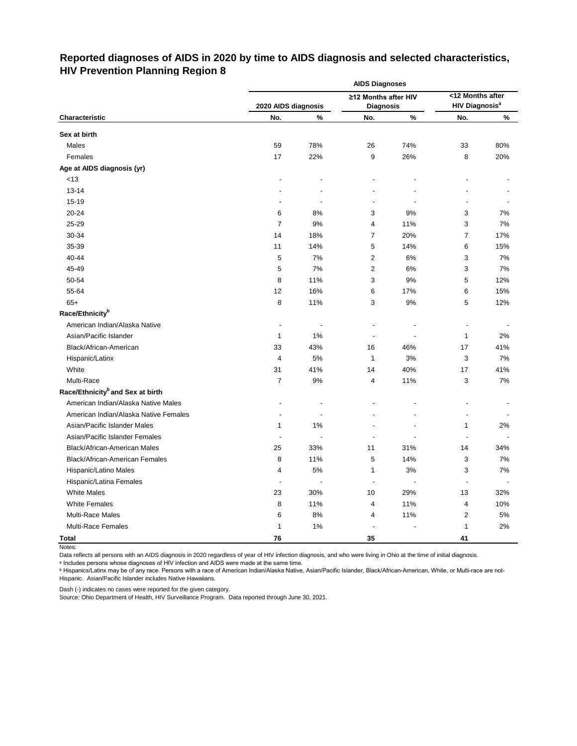# **Reported diagnoses of AIDS in 2020 by time to AIDS diagnosis and selected characteristics, HIV Prevention Planning Region 8**

|                                              |                     |      | <b>AIDS Diagnoses</b>    |      |                                  |       |
|----------------------------------------------|---------------------|------|--------------------------|------|----------------------------------|-------|
|                                              |                     |      | ≥12 Months after HIV     |      | <12 Months after                 |       |
|                                              | 2020 AIDS diagnosis |      | <b>Diagnosis</b>         |      | <b>HIV Diagnosis<sup>a</sup></b> |       |
| Characteristic                               | No.                 | $\%$ | No.                      | $\%$ | No.                              | %     |
| Sex at birth                                 |                     |      |                          |      |                                  |       |
| Males                                        | 59                  | 78%  | 26                       | 74%  | 33                               | 80%   |
| Females                                      | 17                  | 22%  | 9                        | 26%  | 8                                | 20%   |
| Age at AIDS diagnosis (yr)                   |                     |      |                          |      |                                  |       |
| < 13                                         |                     |      |                          |      |                                  |       |
| $13 - 14$                                    |                     |      |                          |      |                                  |       |
| 15-19                                        |                     |      | $\overline{\phantom{a}}$ |      |                                  |       |
| 20-24                                        | 6                   | 8%   | 3                        | 9%   | 3                                | 7%    |
| 25-29                                        | $\overline{7}$      | 9%   | 4                        | 11%  | 3                                | 7%    |
| 30-34                                        | 14                  | 18%  | $\overline{7}$           | 20%  | 7                                | 17%   |
| 35-39                                        | 11                  | 14%  | 5                        | 14%  | 6                                | 15%   |
| 40-44                                        | 5                   | 7%   | $\overline{2}$           | 6%   | 3                                | 7%    |
| 45-49                                        | 5                   | 7%   | $\mathbf{2}$             | 6%   | 3                                | 7%    |
| 50-54                                        | 8                   | 11%  | 3                        | 9%   | 5                                | 12%   |
| 55-64                                        | 12                  | 16%  | 6                        | 17%  | 6                                | 15%   |
| $65+$                                        | 8                   | 11%  | 3                        | 9%   | 5                                | 12%   |
| Race/Ethnicity <sup>b</sup>                  |                     |      |                          |      |                                  |       |
| American Indian/Alaska Native                | L,                  |      | $\blacksquare$           |      | $\overline{\phantom{a}}$         |       |
| Asian/Pacific Islander                       | $\mathbf{1}$        | 1%   | $\blacksquare$           |      | 1                                | 2%    |
| Black/African-American                       | 33                  | 43%  | 16                       | 46%  | 17                               | 41%   |
| Hispanic/Latinx                              | 4                   | 5%   | 1                        | 3%   | 3                                | 7%    |
| White                                        | 31                  | 41%  | 14                       | 40%  | 17                               | 41%   |
| Multi-Race                                   | 7                   | 9%   | 4                        | 11%  | 3                                | 7%    |
| Race/Ethnicity <sup>b</sup> and Sex at birth |                     |      |                          |      |                                  |       |
| American Indian/Alaska Native Males          |                     |      |                          |      |                                  |       |
| American Indian/Alaska Native Females        |                     |      |                          |      |                                  |       |
| Asian/Pacific Islander Males                 | $\mathbf{1}$        | 1%   |                          |      | 1                                | 2%    |
| Asian/Pacific Islander Females               |                     |      |                          |      |                                  |       |
| Black/African-American Males                 | 25                  | 33%  | 11                       | 31%  | 14                               | 34%   |
| <b>Black/African-American Females</b>        | 8                   | 11%  | 5                        | 14%  | 3                                | 7%    |
| Hispanic/Latino Males                        | 4                   | 5%   | $\mathbf{1}$             | 3%   | 3                                | 7%    |
| Hispanic/Latina Females                      | $\blacksquare$      |      | $\blacksquare$           |      |                                  |       |
| <b>White Males</b>                           | 23                  | 30%  | $10$                     | 29%  | 13                               | 32%   |
| <b>White Females</b>                         | 8                   | 11%  | 4                        | 11%  | 4                                | 10%   |
| Multi-Race Males                             | 6                   | 8%   | 4                        | 11%  | 2                                | $5\%$ |
| Multi-Race Females                           | 1                   | 1%   | $\blacksquare$           |      | 1                                | $2\%$ |
| <b>Total</b>                                 | 76                  |      | 35                       |      | 41                               |       |

Notes:

Data reflects all persons with an AIDS diagnosis in 2020 regardless of year of HIV infection diagnosis, and who were living in Ohio at the time of initial diagnosis.

ᵃ Includes persons whose diagnoses of HIV infection and AIDS were made at the same time.

<u>b Hispanics/Latinx may be of any race. Persons with a race of American Indian/Alaska Native, Asian/Pacific Islander, Black/African-American, White, or Multi-race are not-</u> Hispanic. Asian/Pacific Islander includes Native Hawaiians.

Dash (-) indicates no cases were reported for the given category.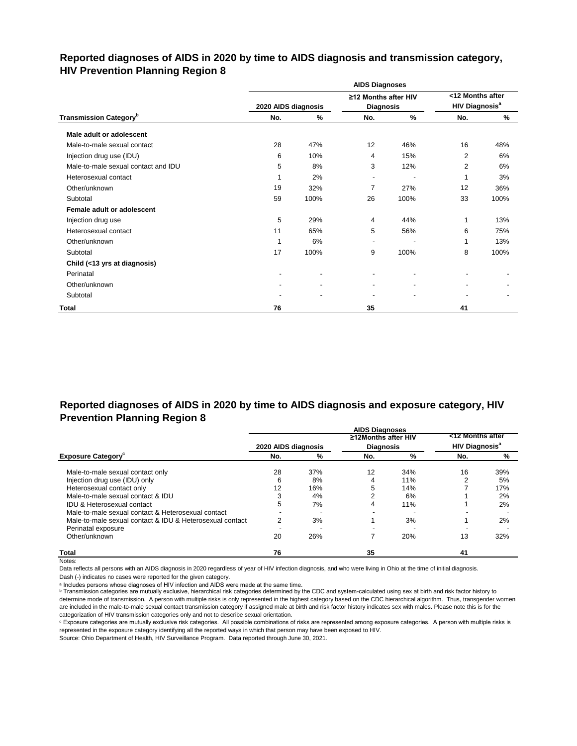## **Reported diagnoses of AIDS in 2020 by time to AIDS diagnosis and transmission category, HIV Prevention Planning Region 8**

|                                           |                     |                          | <b>AIDS Diagnoses</b>                    |      |                                                      |      |
|-------------------------------------------|---------------------|--------------------------|------------------------------------------|------|------------------------------------------------------|------|
|                                           | 2020 AIDS diagnosis |                          | ≥12 Months after HIV<br><b>Diagnosis</b> |      | <12 Months after<br><b>HIV Diagnosis<sup>a</sup></b> |      |
| <b>Transmission Category</b> <sup>b</sup> | No.                 | $\%$                     | No.                                      | %    | No.                                                  | %    |
| Male adult or adolescent                  |                     |                          |                                          |      |                                                      |      |
| Male-to-male sexual contact               | 28                  | 47%                      | 12                                       | 46%  | 16                                                   | 48%  |
| Injection drug use (IDU)                  | 6                   | 10%                      | 4                                        | 15%  | $\overline{2}$                                       | 6%   |
| Male-to-male sexual contact and IDU       | 5                   | 8%                       | 3                                        | 12%  | $\overline{2}$                                       | 6%   |
| Heterosexual contact                      |                     | 2%                       | $\blacksquare$                           |      | 1                                                    | 3%   |
| Other/unknown                             | 19                  | 32%                      | 7                                        | 27%  | 12                                                   | 36%  |
| Subtotal                                  | 59                  | 100%                     | 26                                       | 100% | 33                                                   | 100% |
| Female adult or adolescent                |                     |                          |                                          |      |                                                      |      |
| Injection drug use                        | 5                   | 29%                      | 4                                        | 44%  | 1                                                    | 13%  |
| Heterosexual contact                      | 11                  | 65%                      | 5                                        | 56%  | 6                                                    | 75%  |
| Other/unknown                             | 1                   | 6%                       | $\overline{\phantom{a}}$                 |      | 1                                                    | 13%  |
| Subtotal                                  | 17                  | 100%                     | 9                                        | 100% | 8                                                    | 100% |
| Child (<13 yrs at diagnosis)              |                     |                          |                                          |      |                                                      |      |
| Perinatal                                 |                     |                          |                                          |      |                                                      |      |
| Other/unknown                             |                     | $\overline{\phantom{a}}$ | $\blacksquare$                           |      | $\blacksquare$                                       |      |
| Subtotal                                  |                     |                          |                                          |      |                                                      |      |
| <b>Total</b>                              | 76                  |                          | 35                                       |      | 41                                                   |      |

## **Reported diagnoses of AIDS in 2020 by time to AIDS diagnosis and exposure category, HIV Prevention Planning Region 8**

|                                                          |                     |     | <b>AIDS Diagnoses</b> |     |                                  |     |
|----------------------------------------------------------|---------------------|-----|-----------------------|-----|----------------------------------|-----|
|                                                          |                     |     | ≥12Months after HIV   |     | <12 Months after                 |     |
|                                                          | 2020 AIDS diagnosis |     | <b>Diagnosis</b>      |     | <b>HIV Diagnosis<sup>a</sup></b> |     |
| <b>Exposure Category</b>                                 | No.                 | %   | No.                   | %   | No.                              | %   |
| Male-to-male sexual contact only                         | 28                  | 37% | 12                    | 34% | 16                               | 39% |
| Injection drug use (IDU) only                            | 6                   | 8%  |                       | 11% |                                  | 5%  |
| Heterosexual contact only                                | 12                  | 16% |                       | 14% |                                  | 17% |
| Male-to-male sexual contact & IDU                        |                     | 4%  |                       | 6%  |                                  | 2%  |
| <b>IDU &amp; Heterosexual contact</b>                    | 5                   | 7%  |                       | 11% |                                  | 2%  |
| Male-to-male sexual contact & Heterosexual contact       |                     |     |                       |     |                                  |     |
| Male-to-male sexual contact & IDU & Heterosexual contact | 2                   | 3%  |                       | 3%  |                                  | 2%  |
| Perinatal exposure                                       |                     |     |                       |     |                                  |     |
| Other/unknown                                            | 20                  | 26% |                       | 20% | 13                               | 32% |
| <b>Total</b>                                             | 76                  |     | 35                    |     | 41                               |     |

Notes:

Data reflects all persons with an AIDS diagnosis in 2020 regardless of year of HIV infection diagnosis, and who were living in Ohio at the time of initial diagnosis.

Dash (-) indicates no cases were reported for the given category.

a Includes persons whose diagnoses of HIV infection and AIDS were made at the same time.

**b** Transmission categories are mutually exclusive, hierarchical risk categories determined by the CDC and system-calculated using sex at birth and risk factor history to determine mode of transmission. A person with multiple risks is only represented in the highest category based on the CDC hierarchical algorithm. Thus, transgender women are included in the male-to-male sexual contact transmission category if assigned male at birth and risk factor history indicates sex with males. Please note this is for the categorization of HIV transmission categories only and not to describe sexual orientation.

ᶜ Exposure categories are mutually exclusive risk categories. All possible combinations of risks are represented among exposure categories. A person with multiple risks is represented in the exposure category identifying all the reported ways in which that person may have been exposed to HIV.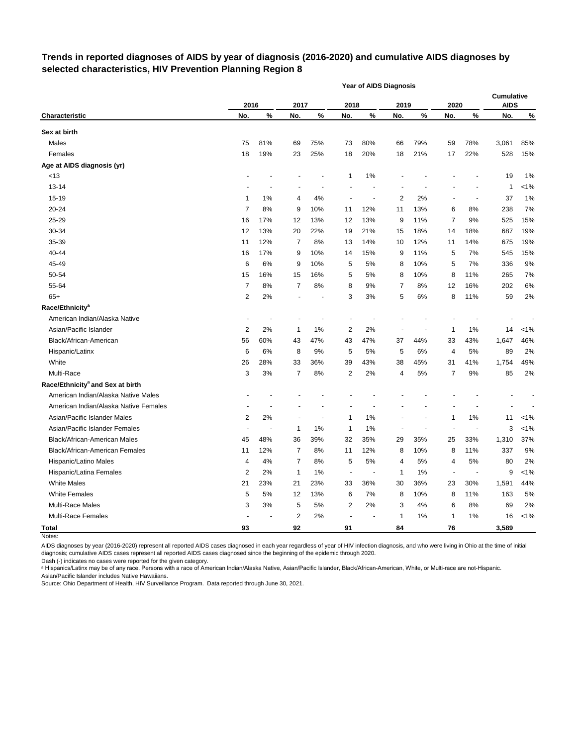## **Trends in reported diagnoses of AIDS by year of diagnosis (2016-2020) and cumulative AIDS diagnoses by selected characteristics, HIV Prevention Planning Region 8**

|                                              |                         |      |                |                          |                          | <b>Year of AIDS Diagnosis</b> |                          |                |                          |       |                                  |         |
|----------------------------------------------|-------------------------|------|----------------|--------------------------|--------------------------|-------------------------------|--------------------------|----------------|--------------------------|-------|----------------------------------|---------|
|                                              | 2016                    |      | 2017           |                          | 2018                     |                               | 2019                     |                | 2020                     |       | <b>Cumulative</b><br><b>AIDS</b> |         |
| <b>Characteristic</b>                        | No.                     | $\%$ | No.            | $\%$                     | No.                      | $\%$                          | No.                      | $\%$           | No.                      | %     | No.                              | $\%$    |
| Sex at birth                                 |                         |      |                |                          |                          |                               |                          |                |                          |       |                                  |         |
| Males                                        | 75                      | 81%  | 69             | 75%                      | 73                       | 80%                           | 66                       | 79%            | 59                       | 78%   | 3,061                            | 85%     |
| Females                                      | 18                      | 19%  | 23             | 25%                      | 18                       | 20%                           | 18                       | 21%            | 17                       | 22%   | 528                              | 15%     |
| Age at AIDS diagnosis (yr)                   |                         |      |                |                          |                          |                               |                          |                |                          |       |                                  |         |
| <13                                          |                         |      |                |                          | 1                        | 1%                            |                          |                |                          |       | 19                               | 1%      |
| 13-14                                        |                         |      |                |                          |                          |                               |                          |                |                          |       | 1                                | $< 1\%$ |
| 15-19                                        | 1                       | 1%   | 4              | 4%                       | $\overline{\phantom{a}}$ | $\overline{\phantom{a}}$      | 2                        | 2%             | $\overline{\phantom{a}}$ | ٠     | 37                               | 1%      |
| 20-24                                        | $\overline{7}$          | 8%   | 9              | 10%                      | 11                       | 12%                           | 11                       | 13%            | 6                        | 8%    | 238                              | 7%      |
| 25-29                                        | 16                      | 17%  | 12             | 13%                      | 12                       | 13%                           | 9                        | 11%            | 7                        | 9%    | 525                              | 15%     |
| 30-34                                        | 12                      | 13%  | 20             | 22%                      | 19                       | 21%                           | 15                       | 18%            | 14                       | 18%   | 687                              | 19%     |
| 35-39                                        | 11                      | 12%  | 7              | 8%                       | 13                       | 14%                           | 10                       | 12%            | 11                       | 14%   | 675                              | 19%     |
| 40-44                                        | 16                      | 17%  | 9              | 10%                      | 14                       | 15%                           | 9                        | 11%            | 5                        | 7%    | 545                              | 15%     |
| 45-49                                        | 6                       | 6%   | 9              | 10%                      | 5                        | 5%                            | 8                        | 10%            | 5                        | 7%    | 336                              | 9%      |
| 50-54                                        | 15                      | 16%  | 15             | 16%                      | 5                        | 5%                            | 8                        | 10%            | 8                        | 11%   | 265                              | 7%      |
| 55-64                                        | 7                       | 8%   | 7              | 8%                       | 8                        | 9%                            | 7                        | 8%             | 12                       | 16%   | 202                              | 6%      |
| $65+$                                        | 2                       | 2%   |                | $\overline{\phantom{a}}$ | 3                        | 3%                            | 5                        | 6%             | 8                        | 11%   | 59                               | 2%      |
| Race/Ethnicity <sup>a</sup>                  |                         |      |                |                          |                          |                               |                          |                |                          |       |                                  |         |
| American Indian/Alaska Native                |                         |      |                |                          |                          |                               |                          |                |                          |       |                                  |         |
| Asian/Pacific Islander                       | 2                       | 2%   | 1              | 1%                       | 2                        | 2%                            | $\overline{\phantom{a}}$ | $\blacksquare$ | 1                        | $1\%$ | 14                               | $< 1\%$ |
| Black/African-American                       | 56                      | 60%  | 43             | 47%                      | 43                       | 47%                           | 37                       | 44%            | 33                       | 43%   | 1,647                            | 46%     |
| Hispanic/Latinx                              | 6                       | 6%   | 8              | 9%                       | 5                        | 5%                            | 5                        | 6%             | 4                        | 5%    | 89                               | 2%      |
| White                                        | 26                      | 28%  | 33             | 36%                      | 39                       | 43%                           | 38                       | 45%            | 31                       | 41%   | 1,754                            | 49%     |
| Multi-Race                                   | 3                       | 3%   | 7              | 8%                       | 2                        | 2%                            | 4                        | 5%             | 7                        | $9%$  | 85                               | 2%      |
| Race/Ethnicity <sup>a</sup> and Sex at birth |                         |      |                |                          |                          |                               |                          |                |                          |       |                                  |         |
| American Indian/Alaska Native Males          |                         |      |                |                          |                          |                               |                          |                |                          |       |                                  |         |
| American Indian/Alaska Native Females        |                         |      |                |                          |                          |                               |                          |                |                          |       |                                  |         |
| Asian/Pacific Islander Males                 | $\overline{2}$          | 2%   |                | $\overline{\phantom{a}}$ | 1                        | 1%                            |                          |                | 1                        | $1\%$ | 11                               | $< 1\%$ |
| Asian/Pacific Islander Females               |                         |      | 1              | 1%                       | 1                        | 1%                            |                          |                | ÷,                       |       | 3                                | $< 1\%$ |
| Black/African-American Males                 | 45                      | 48%  | 36             | 39%                      | 32                       | 35%                           | 29                       | 35%            | 25                       | 33%   | 1,310                            | 37%     |
| Black/African-American Females               | 11                      | 12%  | 7              | 8%                       | 11                       | 12%                           | 8                        | 10%            | 8                        | 11%   | 337                              | 9%      |
| Hispanic/Latino Males                        | 4                       | 4%   | 7              | 8%                       | 5                        | 5%                            | 4                        | 5%             | 4                        | $5\%$ | 80                               | 2%      |
| Hispanic/Latina Females                      | $\overline{\mathbf{c}}$ | 2%   | 1              | 1%                       | $\overline{\phantom{a}}$ |                               | 1                        | $1\%$          | $\overline{\phantom{a}}$ |       | 9                                | $< 1\%$ |
| <b>White Males</b>                           | 21                      | 23%  | 21             | 23%                      | 33                       | 36%                           | 30                       | 36%            | 23                       | 30%   | 1,591                            | 44%     |
| <b>White Females</b>                         | 5                       | 5%   | 12             | 13%                      | 6                        | 7%                            | 8                        | 10%            | 8                        | 11%   | 163                              | $5\%$   |
| Multi-Race Males                             | 3                       | 3%   | 5              | 5%                       | $\overline{c}$           | 2%                            | 3                        | 4%             | 6                        | 8%    | 69                               | 2%      |
| Multi-Race Females                           |                         |      | $\overline{c}$ | 2%                       |                          |                               | 1                        | 1%             | $\mathbf{1}$             | 1%    | 16                               | $< 1\%$ |
| <b>Total</b>                                 | 93                      |      | 92             |                          | 91                       |                               | 84                       |                | ${\bf 76}$               |       | 3,589                            |         |

Notes:

AIDS diagnoses by year (2016-2020) represent all reported AIDS cases diagnosed in each year regardless of year of HIV infection diagnosis, and who were living in Ohio at the time of initial diagnosis; cumulative AIDS cases represent all reported AIDS cases diagnosed since the beginning of the epidemic through 2020.

Dash (-) indicates no cases were reported for the given category.

a Hispanics/Latinx may be of any race. Persons with a race of American Indian/Alaska Native, Asian/Pacific Islander, Black/African-American, White, or Multi-race are not-Hispanic. Asian/Pacific Islander includes Native Hawaiians.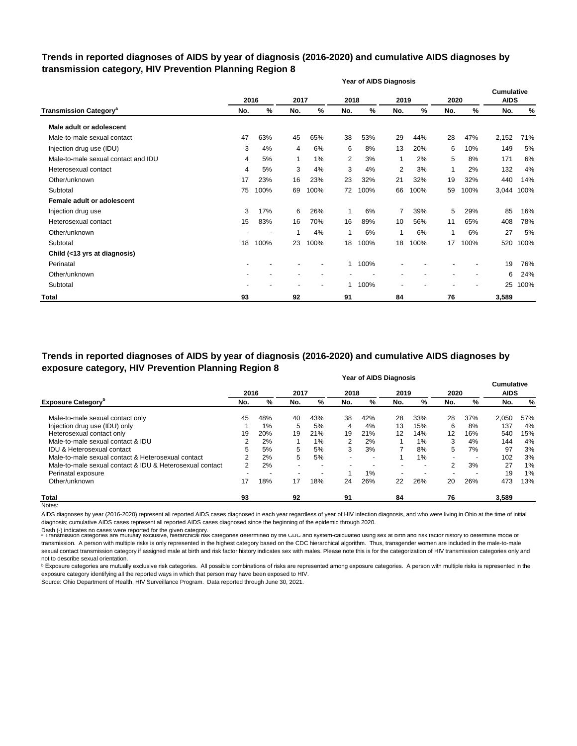## **Trends in reported diagnoses of AIDS by year of diagnosis (2016-2020) and cumulative AIDS diagnoses by transmission category, HIV Prevention Planning Region 8**

|                                          |     |      |      |                          |              | <b>Year of AIDS Diagnosis</b> |                |      |                |      |                           |      |
|------------------------------------------|-----|------|------|--------------------------|--------------|-------------------------------|----------------|------|----------------|------|---------------------------|------|
|                                          |     | 2016 | 2017 |                          | 2018         |                               | 2019           |      | 2020           |      | Cumulative<br><b>AIDS</b> |      |
| <b>Transmission Category<sup>a</sup></b> | No. | %    | No.  | %                        | No.          | %                             | No.            | $\%$ | No.            | %    | No.                       | $\%$ |
| Male adult or adolescent                 |     |      |      |                          |              |                               |                |      |                |      |                           |      |
| Male-to-male sexual contact              | 47  | 63%  | 45   | 65%                      | 38           | 53%                           | 29             | 44%  | 28             | 47%  | 2,152                     | 71%  |
| Injection drug use (IDU)                 | 3   | 4%   | 4    | 6%                       | 6            | 8%                            | 13             | 20%  | 6              | 10%  | 149                       | 5%   |
| Male-to-male sexual contact and IDU      | 4   | 5%   | 1    | 1%                       | 2            | 3%                            | 1              | 2%   | 5              | 8%   | 171                       | 6%   |
| Heterosexual contact                     | 4   | 5%   | 3    | 4%                       | 3            | 4%                            | 2              | 3%   | 1              | 2%   | 132                       | 4%   |
| Other/unknown                            | 17  | 23%  | 16   | 23%                      | 23           | 32%                           | 21             | 32%  | 19             | 32%  | 440                       | 14%  |
| Subtotal                                 | 75  | 100% | 69   | 100%                     | 72           | 100%                          | 66             | 100% | 59             | 100% | 3,044                     | 100% |
| Female adult or adolescent               |     |      |      |                          |              |                               |                |      |                |      |                           |      |
| Injection drug use                       | 3   | 17%  | 6    | 26%                      | $\mathbf{1}$ | 6%                            | $\overline{7}$ | 39%  | 5              | 29%  | 85                        | 16%  |
| Heterosexual contact                     | 15  | 83%  | 16   | 70%                      | 16           | 89%                           | 10             | 56%  | 11             | 65%  | 408                       | 78%  |
| Other/unknown                            |     |      |      | 4%                       | 1            | 6%                            | 1              | 6%   | 1              | 6%   | 27                        | 5%   |
| Subtotal                                 | 18  | 100% | 23   | 100%                     | 18           | 100%                          | 18             | 100% | 17             | 100% | 520                       | 100% |
| Child (<13 yrs at diagnosis)             |     |      |      |                          |              |                               |                |      |                |      |                           |      |
| Perinatal                                |     |      |      |                          |              | 100%                          |                |      |                |      | 19                        | 76%  |
| Other/unknown                            |     |      |      |                          |              |                               |                |      | $\blacksquare$ |      | 6                         | 24%  |
| Subtotal                                 |     |      |      | $\overline{\phantom{a}}$ |              | 100%                          |                |      |                |      | 25                        | 100% |
| <b>Total</b>                             | 93  |      | 92   |                          | 91           |                               | 84             |      | 76             |      | 3,589                     |      |

#### **Year of AIDS Diagnosis Trends in reported diagnoses of AIDS by year of diagnosis (2016-2020) and cumulative AIDS diagnoses by exposure category, HIV Prevention Planning Region 8**

|                                                          | <b>דפטוועט טעור</b> וט וסט |     |      |                          |      |     |                          |                          |                          |     |             |     |
|----------------------------------------------------------|----------------------------|-----|------|--------------------------|------|-----|--------------------------|--------------------------|--------------------------|-----|-------------|-----|
|                                                          | 2016                       |     | 2017 |                          | 2018 |     | 2019                     |                          | 2020                     |     | <b>AIDS</b> |     |
| <b>Exposure Category</b> <sup>b</sup>                    | No.                        | %   | No.  | %                        | No.  | %   | No.                      | %                        | No.                      | %   | No.         | %   |
| Male-to-male sexual contact only                         | 45                         | 48% | 40   | 43%                      | 38   | 42% | 28                       | 33%                      | 28                       | 37% | 2,050       | 57% |
| Injection drug use (IDU) only                            |                            | 1%  | 5    | 5%                       | 4    | 4%  | 13                       | 15%                      | 6                        | 8%  | 137         | 4%  |
| Heterosexual contact only                                | 19                         | 20% | 19   | 21%                      | 19   | 21% | 12                       | 14%                      | 12                       | 16% | 540         | 15% |
| Male-to-male sexual contact & IDU                        | 2                          | 2%  |      | 1%                       | 2    | 2%  |                          | 1%                       | 3                        | 4%  | 144         | 4%  |
| IDU & Heterosexual contact                               | 5                          | 5%  | 5    | 5%                       | 3    | 3%  | 7                        | 8%                       | 5                        | 7%  | 97          | 3%  |
| Male-to-male sexual contact & Heterosexual contact       | 2                          | 2%  | 5    | 5%                       |      |     |                          | $1\%$                    | $\overline{\phantom{a}}$ |     | 102         | 3%  |
| Male-to-male sexual contact & IDU & Heterosexual contact | $\mathcal{P}$              | 2%  |      | $\overline{\phantom{a}}$ |      |     | $\overline{\phantom{0}}$ | $\overline{\phantom{a}}$ | 2                        | 3%  | 27          | 1%  |
| Perinatal exposure                                       |                            |     |      | ۰                        |      | 1%  | $\overline{\phantom{a}}$ |                          | $\overline{\phantom{0}}$ |     | 19          | 1%  |
| Other/unknown                                            | 17                         | 18% | 17   | 18%                      | 24   | 26% | 22                       | 26%                      | 20                       | 26% | 473         | 13% |
| <b>Total</b>                                             | 93                         |     | 92   |                          | 91   |     | 84                       |                          | 76                       |     | 3,589       |     |
| Notes:                                                   |                            |     |      |                          |      |     |                          |                          |                          |     |             |     |

AIDS diagnoses by year (2016-2020) represent all reported AIDS cases diagnosed in each year regardless of year of HIV infection diagnosis, and who were living in Ohio at the time of initial diagnosis; cumulative AIDS cases represent all reported AIDS cases diagnosed since the beginning of the epidemic through 2020.

Dash (-) indicates no cases were reported for the given category.<br>◎ Transmission categories are mutually exclusive, nierarcnical risk categories determined by the CDC and system-calculated using sex at birth and risk ract transmission. A person with multiple risks is only represented in the highest category based on the CDC hierarchical algorithm. Thus, transgender women are included in the male-to-male sexual contact transmission category if assigned male at birth and risk factor history indicates sex with males. Please note this is for the categorization of HIV transmission categories only and not to describe sexual orientation.

**b** Exposure categories are mutually exclusive risk categories. All possible combinations of risks are represented among exposure categories. A person with multiple risks is represented in the exposure category identifying all the reported ways in which that person may have been exposed to HIV.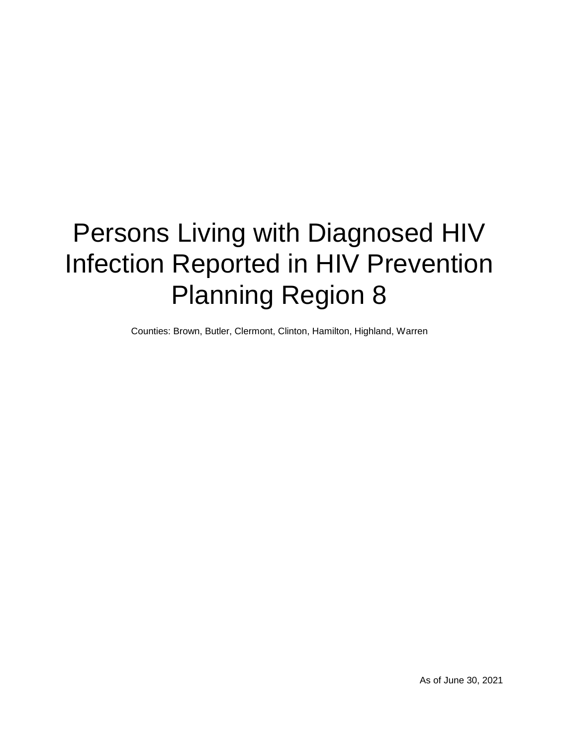# Persons Living with Diagnosed HIV Infection Reported in HIV Prevention Planning Region 8

Counties: Brown, Butler, Clermont, Clinton, Hamilton, Highland, Warren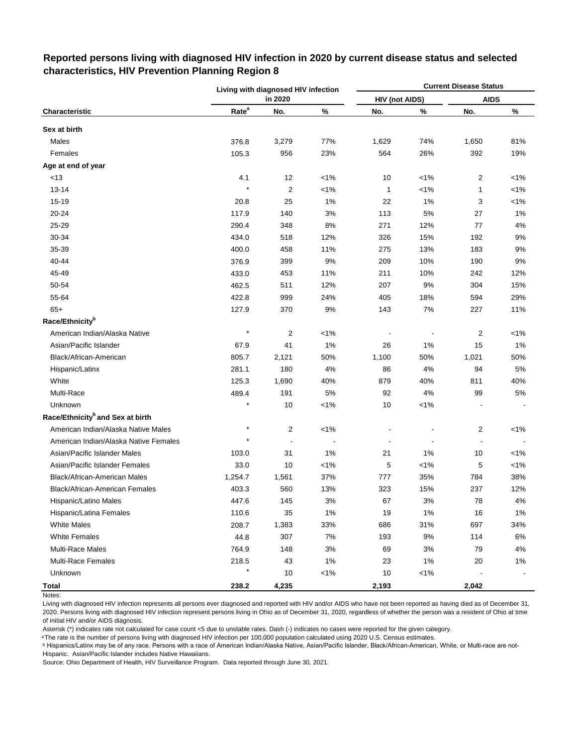|                                              |                   | Living with diagnosed HIV infection |         |                       |         | <b>Current Disease Status</b> |         |
|----------------------------------------------|-------------------|-------------------------------------|---------|-----------------------|---------|-------------------------------|---------|
|                                              |                   | in 2020                             |         | <b>HIV (not AIDS)</b> |         | <b>AIDS</b>                   |         |
| Characteristic                               | Rate <sup>a</sup> | No.                                 | $\%$    | No.                   | $\%$    | No.                           | $\%$    |
| Sex at birth                                 |                   |                                     |         |                       |         |                               |         |
| Males                                        | 376.8             | 3,279                               | 77%     | 1,629                 | 74%     | 1,650                         | 81%     |
| Females                                      | 105.3             | 956                                 | 23%     | 564                   | 26%     | 392                           | 19%     |
| Age at end of year                           |                   |                                     |         |                       |         |                               |         |
| <13                                          | 4.1               | 12                                  | $< 1\%$ | 10                    | $1\%$   | $\overline{2}$                | $< 1\%$ |
| $13 - 14$                                    | $\star$           | $\overline{c}$                      | $< 1\%$ | 1                     | $< 1\%$ | $\mathbf{1}$                  | $< 1\%$ |
| 15-19                                        | 20.8              | 25                                  | 1%      | 22                    | 1%      | 3                             | $< 1\%$ |
| 20-24                                        | 117.9             | 140                                 | 3%      | 113                   | 5%      | 27                            | 1%      |
| 25-29                                        | 290.4             | 348                                 | 8%      | 271                   | 12%     | 77                            | 4%      |
| 30-34                                        | 434.0             | 518                                 | 12%     | 326                   | 15%     | 192                           | 9%      |
| 35-39                                        | 400.0             | 458                                 | 11%     | 275                   | 13%     | 183                           | 9%      |
| 40-44                                        | 376.9             | 399                                 | 9%      | 209                   | 10%     | 190                           | $9%$    |
| 45-49                                        | 433.0             | 453                                 | 11%     | 211                   | 10%     | 242                           | 12%     |
| 50-54                                        | 462.5             | 511                                 | 12%     | 207                   | 9%      | 304                           | 15%     |
| 55-64                                        | 422.8             | 999                                 | 24%     | 405                   | 18%     | 594                           | 29%     |
| $65+$                                        | 127.9             | 370                                 | 9%      | 143                   | 7%      | 227                           | 11%     |
| Race/Ethnicity <sup>b</sup>                  |                   |                                     |         |                       |         |                               |         |
| American Indian/Alaska Native                | $\star$           | 2                                   | $< 1\%$ |                       |         | $\overline{\mathbf{c}}$       | $< 1\%$ |
| Asian/Pacific Islander                       | 67.9              | 41                                  | 1%      | 26                    | 1%      | 15                            | 1%      |
| Black/African-American                       | 805.7             | 2,121                               | 50%     | 1,100                 | 50%     | 1,021                         | 50%     |
| Hispanic/Latinx                              | 281.1             | 180                                 | 4%      | 86                    | 4%      | 94                            | 5%      |
| White                                        | 125.3             | 1,690                               | 40%     | 879                   | 40%     | 811                           | 40%     |
| Multi-Race                                   | 489.4             | 191                                 | $5%$    | 92                    | 4%      | 99                            | 5%      |
| Unknown                                      | $\star$           | 10                                  | $< 1\%$ | 10                    | $< 1\%$ |                               |         |
| Race/Ethnicity <sup>b</sup> and Sex at birth |                   |                                     |         |                       |         |                               |         |
| American Indian/Alaska Native Males          |                   | 2                                   | $< 1\%$ |                       |         | $\overline{2}$                | $< 1\%$ |
| American Indian/Alaska Native Females        |                   |                                     |         |                       |         | ÷,                            |         |
| Asian/Pacific Islander Males                 | 103.0             | 31                                  | 1%      | 21                    | 1%      | 10                            | $< 1\%$ |
| Asian/Pacific Islander Females               | 33.0              | 10                                  | $< 1\%$ | 5                     | $< 1\%$ | 5                             | $< 1\%$ |
| Black/African-American Males                 | 1,254.7           | 1,561                               | 37%     | 777                   | 35%     | 784                           | 38%     |
| Black/African-American Females               | 403.3             | 560                                 | 13%     | 323                   | 15%     | 237                           | 12%     |
| Hispanic/Latino Males                        | 447.6             | 145                                 | 3%      | 67                    | 3%      | 78                            | 4%      |
| Hispanic/Latina Females                      | 110.6             | 35                                  | 1%      | 19                    | 1%      | 16                            | 1%      |
| <b>White Males</b>                           | 208.7             | 1,383                               | 33%     | 686                   | 31%     | 697                           | 34%     |
| <b>White Females</b>                         | 44.8              | 307                                 | 7%      | 193                   | 9%      | 114                           | 6%      |
| <b>Multi-Race Males</b>                      | 764.9             | 148                                 | 3%      | 69                    | 3%      | 79                            | 4%      |
| <b>Multi-Race Females</b>                    | 218.5             | 43                                  | $1\%$   | 23                    | 1%      | 20                            | $1\%$   |
| Unknown                                      |                   | 10                                  | $1\%$   | 10                    | $< 1\%$ |                               |         |
| <b>Total</b>                                 | 238.2             | 4,235                               |         | 2,193                 |         | 2,042                         |         |

## **Reported persons living with diagnosed HIV infection in 2020 by current disease status and selected characteristics, HIV Prevention Planning Region 8**

Notes:

Living with diagnosed HIV infection represents all persons ever diagnosed and reported with HIV and/or AIDS who have not been reported as having died as of December 31, 2020. Persons living with diagnosed HIV infection represent persons living in Ohio as of December 31, 2020, regardless of whether the person was a resident of Ohio at time of initial HIV and/or AIDS diagnosis.

Asterisk (\*) indicates rate not calculated for case count <5 due to unstable rates. Dash (-) indicates no cases were reported for the given category.

a The rate is the number of persons living with diagnosed HIV infection per 100,000 population calculated using 2020 U.S. Census estimates.

ᵇ Hispanics/Latinx may be of any race. Persons with a race of American Indian/Alaska Native, Asian/Pacific Islander, Black/African-American, White, or Multi-race are not-Hispanic. Asian/Pacific Islander includes Native Hawaiians.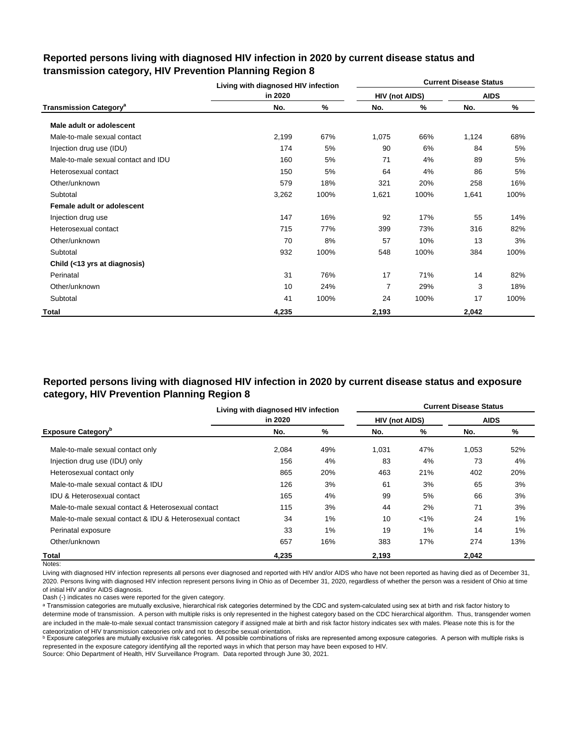|                                          | Living with diagnosed HIV infection |      |                |      | <b>Current Disease Status</b> |      |
|------------------------------------------|-------------------------------------|------|----------------|------|-------------------------------|------|
|                                          | in 2020                             |      | HIV (not AIDS) |      | <b>AIDS</b>                   |      |
| <b>Transmission Category<sup>a</sup></b> | No.                                 | ℅    | No.            | %    | No.                           | %    |
| Male adult or adolescent                 |                                     |      |                |      |                               |      |
| Male-to-male sexual contact              | 2,199                               | 67%  | 1,075          | 66%  | 1,124                         | 68%  |
| Injection drug use (IDU)                 | 174                                 | 5%   | 90             | 6%   | 84                            | 5%   |
| Male-to-male sexual contact and IDU      | 160                                 | 5%   | 71             | 4%   | 89                            | 5%   |
| Heterosexual contact                     | 150                                 | 5%   | 64             | 4%   | 86                            | 5%   |
| Other/unknown                            | 579                                 | 18%  | 321            | 20%  | 258                           | 16%  |
| Subtotal                                 | 3,262                               | 100% | 1,621          | 100% | 1,641                         | 100% |
| Female adult or adolescent               |                                     |      |                |      |                               |      |
| Injection drug use                       | 147                                 | 16%  | 92             | 17%  | 55                            | 14%  |
| Heterosexual contact                     | 715                                 | 77%  | 399            | 73%  | 316                           | 82%  |
| Other/unknown                            | 70                                  | 8%   | 57             | 10%  | 13                            | 3%   |
| Subtotal                                 | 932                                 | 100% | 548            | 100% | 384                           | 100% |
| Child (<13 yrs at diagnosis)             |                                     |      |                |      |                               |      |
| Perinatal                                | 31                                  | 76%  | 17             | 71%  | 14                            | 82%  |
| Other/unknown                            | 10                                  | 24%  | $\overline{7}$ | 29%  | 3                             | 18%  |
| Subtotal                                 | 41                                  | 100% | 24             | 100% | 17                            | 100% |
| Total                                    | 4,235                               |      | 2,193          |      | 2,042                         |      |

## **Reported persons living with diagnosed HIV infection in 2020 by current disease status and transmission category, HIV Prevention Planning Region 8**

## **Reported persons living with diagnosed HIV infection in 2020 by current disease status and exposure category, HIV Prevention Planning Region 8**

|                                                          | Living with diagnosed HIV infection |     |                       |         | <b>Current Disease Status</b> |       |
|----------------------------------------------------------|-------------------------------------|-----|-----------------------|---------|-------------------------------|-------|
|                                                          | in 2020                             |     | <b>HIV (not AIDS)</b> |         | <b>AIDS</b>                   |       |
| <b>Exposure Category</b> <sup>p</sup>                    | No.                                 | %   | No.                   | %       | No.                           | %     |
| Male-to-male sexual contact only                         | 2,084                               | 49% | 1,031                 | 47%     | 1,053                         | 52%   |
| Injection drug use (IDU) only                            | 156                                 | 4%  | 83                    | 4%      | 73                            | 4%    |
| Heterosexual contact only                                | 865                                 | 20% | 463                   | 21%     | 402                           | 20%   |
| Male-to-male sexual contact & IDU                        | 126                                 | 3%  | 61                    | 3%      | 65                            | 3%    |
| <b>IDU &amp; Heterosexual contact</b>                    | 165                                 | 4%  | 99                    | 5%      | 66                            | 3%    |
| Male-to-male sexual contact & Heterosexual contact       | 115                                 | 3%  | 44                    | 2%      | 71                            | 3%    |
| Male-to-male sexual contact & IDU & Heterosexual contact | 34                                  | 1%  | 10                    | $< 1\%$ | 24                            | 1%    |
| Perinatal exposure                                       | 33                                  | 1%  | 19                    | 1%      | 14                            | $1\%$ |
| Other/unknown                                            | 657                                 | 16% | 383                   | 17%     | 274                           | 13%   |
| Total                                                    | 4,235                               |     | 2,193                 |         | 2,042                         |       |

Notes:

Living with diagnosed HIV infection represents all persons ever diagnosed and reported with HIV and/or AIDS who have not been reported as having died as of December 31, 2020. Persons living with diagnosed HIV infection represent persons living in Ohio as of December 31, 2020, regardless of whether the person was a resident of Ohio at time of initial HIV and/or AIDS diagnosis.

Dash (-) indicates no cases were reported for the given category.

a Transmission categories are mutually exclusive, hierarchical risk categories determined by the CDC and system-calculated using sex at birth and risk factor history to determine mode of transmission. A person with multiple risks is only represented in the highest category based on the CDC hierarchical algorithm. Thus, transgender women are included in the male-to-male sexual contact transmission category if assigned male at birth and risk factor history indicates sex with males. Please note this is for the categorization of HIV transmission categories only and not to describe sexual orientation.

**b** Exposure categories are mutually exclusive risk categories. All possible combinations of risks are represented among exposure categories. A person with multiple risks is represented in the exposure category identifying all the reported ways in which that person may have been exposed to HIV.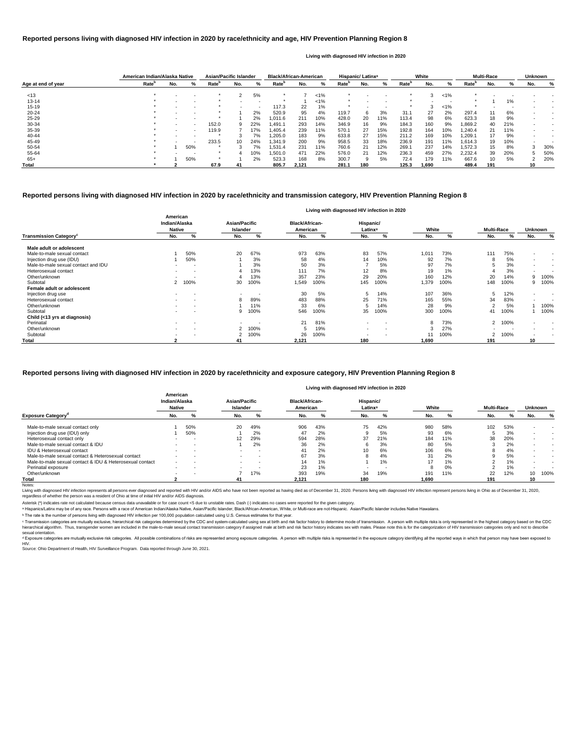|                    | American Indian/Alaska Native |     |                          | <b>Asian/Pacific Islander</b> |     |                          | <b>Black/African-American</b> |       |         |                   | Hispanic/Latinx <sup>a</sup> |     |                   | White |         |                   | <b>Multi-Race</b> |     | <b>Unknown</b> |     |
|--------------------|-------------------------------|-----|--------------------------|-------------------------------|-----|--------------------------|-------------------------------|-------|---------|-------------------|------------------------------|-----|-------------------|-------|---------|-------------------|-------------------|-----|----------------|-----|
| Age at end of year | Rate <sup>b</sup>             | No. | ℅                        | Rate <sup>r</sup>             | No. | %                        | Rate <sup>n</sup>             | No.   | %       | Rate <sup>"</sup> | No.                          | ℅   | Rate <sup>"</sup> | No.   | %       | Rate <sup>'</sup> | No.               |     | No.            | %   |
| < 13               |                               |     |                          |                               | っ   | 5%                       |                               |       | $< 1\%$ |                   |                              |     |                   | ົ     | 1%      |                   |                   |     |                |     |
| 13-14              |                               |     |                          |                               |     |                          |                               |       | $< 1\%$ |                   |                              |     |                   |       |         |                   |                   | 1%  |                |     |
| $15 - 19$          |                               |     |                          |                               |     | $\overline{\phantom{a}}$ | 117.3                         | 22    | 1%      |                   |                              | . . |                   |       | $< 1\%$ |                   |                   |     |                |     |
| $20 - 24$          |                               |     |                          |                               |     | 2%                       | 520.9                         | 95    | 4%      | 119.7             | 6                            | 3%  | 31.1              | 27    | 2%      | 297.4             |                   | 6%  |                |     |
| $25 - 29$          |                               |     |                          |                               |     | 2%                       | 0.11.6                        | 211   | 10%     | 428.0             | 20                           | 11% | 113.4             | 98    | 6%      | 623.3             | 18                | 9%  |                |     |
| 30-34              |                               |     |                          | 152.0                         | 9   | 22%                      | 1,491.1                       | 293   | 14%     | 346.9             | 16                           | 9%  | 184.3             | 160   | 9%      | .869.2            | 40                | 21% |                |     |
| 35-39              |                               |     | $\overline{\phantom{a}}$ | 119.9                         |     | 17%                      | .405.4                        | 239   | 11%     | 570.1             | 27                           | 15% | 192.8             | 164   | 10%     | .240.4            | 21                | 11% |                |     |
| 40-44              |                               |     |                          |                               |     | 7%                       | .205.0                        | 183   | 9%      | 633.8             | 27                           | 15% | 211.2             | 169   | 10%     | 0.209.1           |                   | 9%  |                |     |
| 45-49              |                               |     |                          | 233.5                         | 10  | 24%                      | .341.9                        | 200   | 9%      | 958.5             | 33                           | 18% | 236.9             | 191   | 11%     | 1.614.3           | 19                | 10% |                |     |
| 50-54              |                               |     | 50%                      |                               |     | 7%                       | 1,531.4                       | 231   | 11%     | 760.6             | 21                           | 12% | 269.1             | 237   | 14%     | 1,572.3           | 15                | 8%  |                | 30% |
| 55-64              |                               |     |                          |                               |     | 10%                      | .501.0                        | 471   | 22%     | 576.0             | 21                           | 12% | 236.3             | 459   | 27%     | 2,232.4           | 39                | 20% |                | 50% |
| $65+$              |                               |     | 50%                      |                               |     | 2%                       | 523.3                         | 168   | 8%      | 300.7             |                              | 5%  | 72.4              | 179   | 11%     | 667.6             | 10                | 5%  |                | 20% |
| <b>Total</b>       |                               |     |                          | 67.9                          | 41  |                          | 805.7                         | 2,121 |         | 281.1             | 180                          |     | 125.3             | 1.690 |         | 489.4             | 191               |     | 10             |     |

<sup>c</sup> Transmission categories are mutually exclusive, hierarchical risk categories determined by the CDC and system-calculated using sex at birth and risk factor history to determine mode of transmission. A person with multi hierarchical algorithm. Thus, transgender women are included in the male-to-male sexual contact transmission category if assigned male at birth and risk factor history indicates sex with males. Please note this is for the sexual orientation.

<sup>d</sup> Exposure categories are mutually exclusive risk categories. All possible combinations of risks are represented among exposure categories. A person with multiple risks is represented in the exposure category identifying

|                                           |                                            |                          |                                  |                          |                                   | Living with diagnosed HIV infection in 2020 |                                  |                          |       |      |                   |      |                |                          |
|-------------------------------------------|--------------------------------------------|--------------------------|----------------------------------|--------------------------|-----------------------------------|---------------------------------------------|----------------------------------|--------------------------|-------|------|-------------------|------|----------------|--------------------------|
|                                           | American<br>Indian/Alaska<br><b>Native</b> |                          | <b>Asian/Pacific</b><br>Islander |                          | <b>Black/African-</b><br>American |                                             | Hispanic/<br>Latinx <sup>a</sup> |                          | White |      | <b>Multi-Race</b> |      | <b>Unknown</b> |                          |
| <b>Transmission Category</b> <sup>c</sup> | No.                                        | %                        | No.                              | %                        | No.                               | %                                           | No.                              | %                        | No.   | %    | No.               | %    | No.            | %                        |
| Male adult or adolescent                  |                                            |                          |                                  |                          |                                   |                                             |                                  |                          |       |      |                   |      |                |                          |
| Male-to-male sexual contact               |                                            | 50%                      | 20                               | 67%                      | 973                               | 63%                                         | 83                               | 57%                      | 1,01' | 73%  | 111               | 75%  | $\blacksquare$ | $\overline{\phantom{a}}$ |
| Injection drug use (IDU)                  |                                            | 50%                      |                                  | 3%                       | 58                                | 4%                                          | 14                               | 10%                      | 92    | 7%   | Ω                 | 5%   | $\sim$         | $\overline{\phantom{a}}$ |
| Male-to-male sexual contact and IDU       |                                            | $\overline{\phantom{a}}$ |                                  | 3%                       | 50                                | 3%                                          |                                  | 5%                       | 97    | 7%   | э                 | 3%   | $\sim$         | $\overline{\phantom{a}}$ |
| Heterosexual contact                      |                                            | $\overline{\phantom{a}}$ |                                  | 13%                      | 111                               | 7%                                          | 12                               | 8%                       | 19    | 1%   |                   | 3%   | $\sim$         |                          |
| Other/unknown                             |                                            | $\,$ $\,$                |                                  | 13%                      | 357                               | 23%                                         | 29                               | 20%                      | 160   | 12%  | 20                | 14%  | 9              | 100%                     |
| Subtotal                                  | $\mathbf{2}$                               | 100%                     | 30                               | 100%                     | 1,549                             | 100%                                        | 145                              | 100%                     | 1,379 | 100% | 148               | 100% |                | 100%                     |
| Female adult or adolescent                |                                            |                          |                                  |                          |                                   |                                             |                                  |                          |       |      |                   |      |                |                          |
| Injection drug use                        | $\sim$                                     | $\overline{\phantom{a}}$ | $\blacksquare$                   |                          | 30                                | 5%                                          | 5                                | 14%                      | 107   | 36%  | 5                 | 12%  | $\blacksquare$ | $\,$ $\,$                |
| Heterosexual contact                      |                                            | $\,$ $\,$                | 8                                | 89%                      | 483                               | 88%                                         | 25                               | 71%                      | 165   | 55%  | 34                | 83%  | $\blacksquare$ |                          |
| Other/unknown                             |                                            | $\overline{\phantom{a}}$ |                                  | 11%                      | 33                                | 6%                                          | 5                                | 14%                      | 28    | 9%   | c                 | 5%   |                | 100%                     |
| Subtotal                                  |                                            | $\overline{\phantom{a}}$ | 9                                | 100%                     | 546                               | 100%                                        | 35                               | 100%                     | 300   | 100% | 41                | 100% |                | 100%                     |
| Child (<13 yrs at diagnosis)              |                                            |                          |                                  |                          |                                   |                                             |                                  |                          |       |      |                   |      |                |                          |
| Perinatal                                 | $\sim$                                     | $\overline{\phantom{a}}$ | $\sim$                           | $\overline{\phantom{a}}$ | 21                                | 81%                                         | $\sim$                           | $\overline{\phantom{a}}$ |       | 73%  | $\overline{2}$    | 100% | $\blacksquare$ |                          |
| Other/unknown                             | $\sim$                                     | $\,$ $\,$                |                                  | 100%                     |                                   | 19%                                         | $\sim$                           | $\,$ $\,$                |       | 27%  |                   |      | $\blacksquare$ | $\overline{\phantom{a}}$ |
| Subtotal                                  |                                            | $\overline{\phantom{a}}$ |                                  | 100%                     | 26                                | 100%                                        |                                  | $\overline{\phantom{a}}$ |       | 100% | 2                 | 100% | $\,$ $\,$      | $\overline{\phantom{a}}$ |
| <b>Total</b>                              |                                            |                          | 41                               |                          | 2,121                             |                                             | 180                              |                          | 1,690 |      | 191               |      | 10             |                          |

|                                                          |                                            |                          |                           |        |                                   |     | Living with diagnosed HIV infection in 2020 |     |       |     |                   |     |                |                          |
|----------------------------------------------------------|--------------------------------------------|--------------------------|---------------------------|--------|-----------------------------------|-----|---------------------------------------------|-----|-------|-----|-------------------|-----|----------------|--------------------------|
|                                                          | American<br>Indian/Alaska<br><b>Native</b> |                          | Asian/Pacific<br>Islander |        | <b>Black/African-</b><br>American |     | Hispanic/<br>Latinx <sup>a</sup>            |     | White |     | <b>Multi-Race</b> |     | <b>Unknown</b> |                          |
| <b>Exposure Category</b> <sup>c</sup>                    | No.                                        | %                        | No.                       | %      | No.                               | %   | No.                                         |     | No.   | ℀   | No.               |     | No.            | %                        |
| Male-to-male sexual contact only                         |                                            | 50%                      | 20                        | 49%    | 906                               | 43% | 75                                          | 42% | 980   | 58% | 102               | 53% |                |                          |
| Injection drug use (IDU) only                            |                                            | 50%                      |                           | 2%     | 47                                | 2%  |                                             | 5%  | 93    | 6%  |                   | 3%  |                | $\,$ $\,$                |
| Heterosexual contact only                                |                                            |                          |                           | 29%    | 594                               | 28% | 37                                          | 21% | 184   | 11% | 38                | 20% |                |                          |
| Male-to-male sexual contact & IDU                        |                                            |                          |                           | 2%     | 36                                | 2%  |                                             | 3%  | 80    | 5%  |                   | 2%  |                | $\overline{\phantom{a}}$ |
| <b>IDU &amp; Heterosexual contact</b>                    | $\overline{\phantom{0}}$                   |                          | $\sim$                    | $\sim$ | 41                                | 2%  | 10                                          | 6%  | 106   | 6%  |                   | 4%  | -              | $\,$ $\,$                |
| Male-to-male sexual contact & Heterosexual contact       |                                            |                          | $\sim$                    | $\sim$ | 67                                | 3%  |                                             | 4%  | 31    | 2%  |                   | 5%  |                | $\,$ $\,$                |
| Male-to-male sexual contact & IDU & Heterosexual contact | $\overline{\phantom{0}}$                   |                          |                           | $\sim$ | 14                                | 1%  |                                             | 1%  | 17    | 1%  |                   | 1%  |                | $\,$ $\,$                |
| Perinatal exposure                                       | $\overline{\phantom{0}}$                   |                          |                           |        | 23                                | 1%  |                                             | . . | ŏ     | 0%  |                   | 1%  |                |                          |
| Other/unknown                                            |                                            | $\overline{\phantom{a}}$ |                           | 17%    | 393                               | 19% | 34                                          | 19% | 191   | 11% | 22                | 12% | 10             | 100%                     |
| Total                                                    |                                            |                          | 41                        |        | 2,121                             |     | 180                                         |     | 1,690 |     | 191               |     | 10             |                          |

Notes:

Living with diagnosed HIV infection represents all persons ever diagnosed and reported with HIV and/or AIDS who have not been reported as having died as of December 31, 2020. Persons living with diagnosed HIV infection rep regardless of whether the person was a resident of Ohio at time of initial HIV and/or AIDS diagnosis.

#### **Reported persons living with diagnosed HIV infection in 2020 by race/ethnicity and transmission category, HIV Prevention Planning Region 8**

#### **Reported persons living with diagnosed HIV infection in 2020 by race/ethnicity and age, HIV Prevention Planning Region 8**

#### **Living with diagnosed HIV infection in 2020**

#### **Reported persons living with diagnosed HIV infection in 2020 by race/ethnicity and exposure category, HIV Prevention Planning Region 8**

ᵇ The rate is the number of persons living with diagnosed HIV infection per 100,000 population calculated using U.S. Census estimates for that year.

Source: Ohio Department of Health, HIV Surveillance Program. Data reported through June 30, 2021. HIV.

Asterisk (\*) indicates rate not calculated because census data unavailable or for case count <5 due to unstable rates. Dash (-) indicates no cases were reported for the given category.

a Hispanics/Latinx may be of any race. Persons with a race of American Indian/Alaska Native, Asian/Pacific Islander, Black/African-American, White, or Multi-race are not-Hispanic. Asian/Pacific Islander includes Native Haw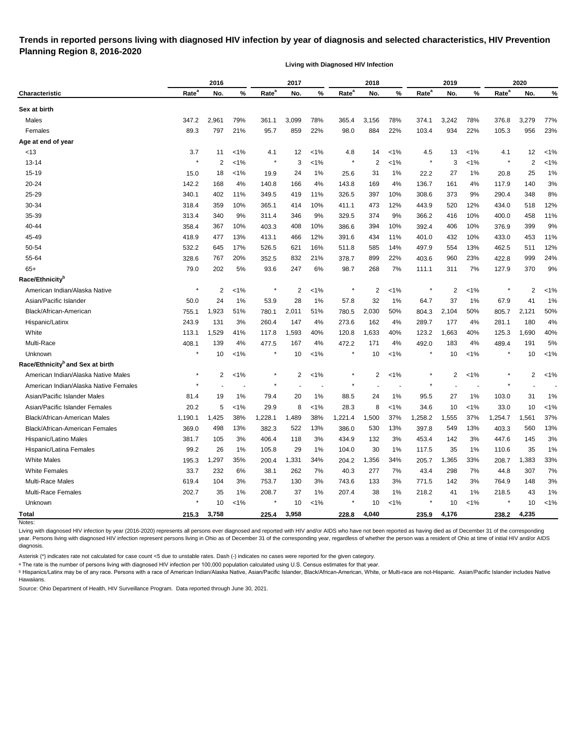## **Trends in reported persons living with diagnosed HIV infection by year of diagnosis and selected characteristics, HIV Prevention Planning Region 8, 2016-2020**

**Living with Diagnosed HIV Infection**

| Rate <sup>a</sup><br>Rate <sup>a</sup><br>Rate <sup>a</sup><br>Rate <sup>a</sup><br>Rate <sup>a</sup><br>%<br>%<br>%<br>No.<br>No.<br>No.<br>No.<br>%<br>No.<br>Characteristic<br>Sex at birth<br>Males<br>347.2<br>2,961<br>79%<br>361.1<br>3,099<br>78%<br>365.4<br>3,156<br>78%<br>374.1<br>3,242<br>78%<br>376.8<br>3,279<br>Females<br>89.3<br>21%<br>859<br>22%<br>98.0<br>884<br>22%<br>103.4<br>934<br>22%<br>105.3<br>956<br>797<br>95.7<br>Age at end of year<br><13<br>3.7<br>$1\%$<br>12<br>$1\%$<br>4.8<br>14<br>$1\%$<br>4.5<br>13<br>$1\%$<br>4.1<br>12<br>11<br>4.1<br>$\ast$<br>$\overline{2}$<br>$13 - 14$<br>2<br>1%<br>3<br>$< 1\%$<br>$\overline{2}$<br>1%<br>3<br>$1\%$<br>$15 - 19$<br>22.2<br>15.0<br>18<br>$1\%$<br>19.9<br>24<br>1%<br>25.6<br>31<br>1%<br>27<br>1%<br>20.8<br>25<br>20-24<br>4%<br>136.7<br>142.2<br>168<br>4%<br>140.8<br>166<br>143.8<br>169<br>4%<br>161<br>4%<br>117.9<br>140<br>25-29<br>340.1<br>11%<br>326.5<br>10%<br>308.6<br>373<br>348<br>402<br>11%<br>349.5<br>419<br>397<br>9%<br>290.4<br>30-34<br>10%<br>12%<br>520<br>518<br>359<br>10%<br>414<br>473<br>443.9<br>12%<br>318.4<br>365.1<br>411.1<br>434.0<br>35-39<br>9%<br>9%<br>458<br>313.4<br>340<br>9%<br>346<br>374<br>366.2<br>416<br>10%<br>400.0<br>311.4<br>329.5<br>392.4<br>40-44<br>358.4<br>367<br>10%<br>403.3<br>408<br>10%<br>386.6<br>10%<br>406<br>376.9<br>399<br>394<br>10%<br>418.9<br>477<br>13%<br>12%<br>391.6<br>11%<br>401.0<br>10%<br>453<br>45-49<br>413.1<br>466<br>434<br>432<br>433.0<br>50-54<br>497.9<br>532.2<br>645<br>17%<br>526.5<br>621<br>16%<br>14%<br>554<br>462.5<br>511<br>511.8<br>585<br>13%<br>55-64<br>328.6<br>767<br>20%<br>832<br>21%<br>899<br>22%<br>403.6<br>960<br>23%<br>999<br>352.5<br>378.7<br>422.8<br>$65+$<br>202<br>5%<br>247<br>6%<br>268<br>7%<br>370<br>79.0<br>93.6<br>98.7<br>311<br>7%<br>127.9<br>111.1<br>Race/Ethnicity <sup>b</sup><br>$\star$<br>$\ast$<br>$\overline{2}$<br>$\overline{2}$<br>$\overline{2}$<br>$\overline{2}$<br>American Indian/Alaska Native<br>2<br>$< 1\%$<br>$< 1\%$<br>$< 1\%$<br>$1\%$<br>Asian/Pacific Islander<br>50.0<br>24<br>1%<br>53.9<br>28<br>1%<br>57.8<br>32<br>1%<br>64.7<br>37<br>1%<br>67.9<br>41<br>Black/African-American<br>755.1<br>1,923<br>780.1<br>2,011<br>51%<br>780.5<br>2,030<br>50%<br>804.3<br>2,104<br>805.7<br>2,121<br>51%<br>50%<br>131<br>147<br>4%<br>162<br>289.7<br>180<br>Hispanic/Latinx<br>243.9<br>3%<br>260.4<br>273.6<br>4%<br>177<br>4%<br>281.1<br>White<br>1,593<br>40%<br>1,633<br>40%<br>123.2<br>1,663<br>1,690<br>113.1<br>1,529<br>41%<br>117.8<br>120.8<br>40%<br>125.3<br>Multi-Race<br>408.1<br>139<br>4%<br>477.5<br>167<br>4%<br>472.2<br>171<br>4%<br>492.0<br>183<br>4%<br>489.4<br>191<br>$\star$<br>$1\%$<br>$\ast$<br>10<br>$1\%$<br>$\ast$<br>10<br>$< 1\%$<br>10<br>$< 1\%$<br>Unknown<br>10<br>10<br>Race/Ethnicity <sup>b</sup> and Sex at birth<br>$\ast$<br>American Indian/Alaska Native Males<br>2<br>$< 1\%$<br>$\star$<br>2<br>$< 1\%$<br>$^\ast$<br>2<br>1%<br>$\overline{c}$<br>$1\%$<br>2<br>$\star$<br>American Indian/Alaska Native Females<br>Asian/Pacific Islander Males<br>19<br>1%<br>20<br>$1\%$<br>24<br>1%<br>27<br>1%<br>31<br>81.4<br>79.4<br>88.5<br>95.5<br>103.0<br>20.2<br>5<br>Asian/Pacific Islander Females<br>$1\%$<br>29.9<br>8<br>$1\%$<br>28.3<br>8<br>$1\%$<br>34.6<br>10<br>$1\%$<br>33.0<br>10<br>37%<br><b>Black/African-American Males</b><br>1,425<br>38%<br>1,228.1<br>1,489<br>38%<br>1,500<br>1,258.2<br>1,555<br>37%<br>1,561<br>1,190.1<br>1,221.4<br>1,254.7 |         |
|---------------------------------------------------------------------------------------------------------------------------------------------------------------------------------------------------------------------------------------------------------------------------------------------------------------------------------------------------------------------------------------------------------------------------------------------------------------------------------------------------------------------------------------------------------------------------------------------------------------------------------------------------------------------------------------------------------------------------------------------------------------------------------------------------------------------------------------------------------------------------------------------------------------------------------------------------------------------------------------------------------------------------------------------------------------------------------------------------------------------------------------------------------------------------------------------------------------------------------------------------------------------------------------------------------------------------------------------------------------------------------------------------------------------------------------------------------------------------------------------------------------------------------------------------------------------------------------------------------------------------------------------------------------------------------------------------------------------------------------------------------------------------------------------------------------------------------------------------------------------------------------------------------------------------------------------------------------------------------------------------------------------------------------------------------------------------------------------------------------------------------------------------------------------------------------------------------------------------------------------------------------------------------------------------------------------------------------------------------------------------------------------------------------------------------------------------------------------------------------------------------------------------------------------------------------------------------------------------------------------------------------------------------------------------------------------------------------------------------------------------------------------------------------------------------------------------------------------------------------------------------------------------------------------------------------------------------------------------------------------------------------------------------------------------------------------------------------------------------------------------------------------------------------------------------------------------------------------------------------------------------------------------------------------------------------------------------------------------------------------------------------------------------------------------------------------------------------------------------------------------------------------------------------------------------------------------------------|---------|
|                                                                                                                                                                                                                                                                                                                                                                                                                                                                                                                                                                                                                                                                                                                                                                                                                                                                                                                                                                                                                                                                                                                                                                                                                                                                                                                                                                                                                                                                                                                                                                                                                                                                                                                                                                                                                                                                                                                                                                                                                                                                                                                                                                                                                                                                                                                                                                                                                                                                                                                                                                                                                                                                                                                                                                                                                                                                                                                                                                                                                                                                                                                                                                                                                                                                                                                                                                                                                                                                                                                                                                                       | %       |
|                                                                                                                                                                                                                                                                                                                                                                                                                                                                                                                                                                                                                                                                                                                                                                                                                                                                                                                                                                                                                                                                                                                                                                                                                                                                                                                                                                                                                                                                                                                                                                                                                                                                                                                                                                                                                                                                                                                                                                                                                                                                                                                                                                                                                                                                                                                                                                                                                                                                                                                                                                                                                                                                                                                                                                                                                                                                                                                                                                                                                                                                                                                                                                                                                                                                                                                                                                                                                                                                                                                                                                                       |         |
|                                                                                                                                                                                                                                                                                                                                                                                                                                                                                                                                                                                                                                                                                                                                                                                                                                                                                                                                                                                                                                                                                                                                                                                                                                                                                                                                                                                                                                                                                                                                                                                                                                                                                                                                                                                                                                                                                                                                                                                                                                                                                                                                                                                                                                                                                                                                                                                                                                                                                                                                                                                                                                                                                                                                                                                                                                                                                                                                                                                                                                                                                                                                                                                                                                                                                                                                                                                                                                                                                                                                                                                       | 77%     |
|                                                                                                                                                                                                                                                                                                                                                                                                                                                                                                                                                                                                                                                                                                                                                                                                                                                                                                                                                                                                                                                                                                                                                                                                                                                                                                                                                                                                                                                                                                                                                                                                                                                                                                                                                                                                                                                                                                                                                                                                                                                                                                                                                                                                                                                                                                                                                                                                                                                                                                                                                                                                                                                                                                                                                                                                                                                                                                                                                                                                                                                                                                                                                                                                                                                                                                                                                                                                                                                                                                                                                                                       | 23%     |
|                                                                                                                                                                                                                                                                                                                                                                                                                                                                                                                                                                                                                                                                                                                                                                                                                                                                                                                                                                                                                                                                                                                                                                                                                                                                                                                                                                                                                                                                                                                                                                                                                                                                                                                                                                                                                                                                                                                                                                                                                                                                                                                                                                                                                                                                                                                                                                                                                                                                                                                                                                                                                                                                                                                                                                                                                                                                                                                                                                                                                                                                                                                                                                                                                                                                                                                                                                                                                                                                                                                                                                                       |         |
|                                                                                                                                                                                                                                                                                                                                                                                                                                                                                                                                                                                                                                                                                                                                                                                                                                                                                                                                                                                                                                                                                                                                                                                                                                                                                                                                                                                                                                                                                                                                                                                                                                                                                                                                                                                                                                                                                                                                                                                                                                                                                                                                                                                                                                                                                                                                                                                                                                                                                                                                                                                                                                                                                                                                                                                                                                                                                                                                                                                                                                                                                                                                                                                                                                                                                                                                                                                                                                                                                                                                                                                       | $1\%$   |
|                                                                                                                                                                                                                                                                                                                                                                                                                                                                                                                                                                                                                                                                                                                                                                                                                                                                                                                                                                                                                                                                                                                                                                                                                                                                                                                                                                                                                                                                                                                                                                                                                                                                                                                                                                                                                                                                                                                                                                                                                                                                                                                                                                                                                                                                                                                                                                                                                                                                                                                                                                                                                                                                                                                                                                                                                                                                                                                                                                                                                                                                                                                                                                                                                                                                                                                                                                                                                                                                                                                                                                                       | $< 1\%$ |
|                                                                                                                                                                                                                                                                                                                                                                                                                                                                                                                                                                                                                                                                                                                                                                                                                                                                                                                                                                                                                                                                                                                                                                                                                                                                                                                                                                                                                                                                                                                                                                                                                                                                                                                                                                                                                                                                                                                                                                                                                                                                                                                                                                                                                                                                                                                                                                                                                                                                                                                                                                                                                                                                                                                                                                                                                                                                                                                                                                                                                                                                                                                                                                                                                                                                                                                                                                                                                                                                                                                                                                                       | 1%      |
|                                                                                                                                                                                                                                                                                                                                                                                                                                                                                                                                                                                                                                                                                                                                                                                                                                                                                                                                                                                                                                                                                                                                                                                                                                                                                                                                                                                                                                                                                                                                                                                                                                                                                                                                                                                                                                                                                                                                                                                                                                                                                                                                                                                                                                                                                                                                                                                                                                                                                                                                                                                                                                                                                                                                                                                                                                                                                                                                                                                                                                                                                                                                                                                                                                                                                                                                                                                                                                                                                                                                                                                       | 3%      |
|                                                                                                                                                                                                                                                                                                                                                                                                                                                                                                                                                                                                                                                                                                                                                                                                                                                                                                                                                                                                                                                                                                                                                                                                                                                                                                                                                                                                                                                                                                                                                                                                                                                                                                                                                                                                                                                                                                                                                                                                                                                                                                                                                                                                                                                                                                                                                                                                                                                                                                                                                                                                                                                                                                                                                                                                                                                                                                                                                                                                                                                                                                                                                                                                                                                                                                                                                                                                                                                                                                                                                                                       | 8%      |
|                                                                                                                                                                                                                                                                                                                                                                                                                                                                                                                                                                                                                                                                                                                                                                                                                                                                                                                                                                                                                                                                                                                                                                                                                                                                                                                                                                                                                                                                                                                                                                                                                                                                                                                                                                                                                                                                                                                                                                                                                                                                                                                                                                                                                                                                                                                                                                                                                                                                                                                                                                                                                                                                                                                                                                                                                                                                                                                                                                                                                                                                                                                                                                                                                                                                                                                                                                                                                                                                                                                                                                                       | 12%     |
|                                                                                                                                                                                                                                                                                                                                                                                                                                                                                                                                                                                                                                                                                                                                                                                                                                                                                                                                                                                                                                                                                                                                                                                                                                                                                                                                                                                                                                                                                                                                                                                                                                                                                                                                                                                                                                                                                                                                                                                                                                                                                                                                                                                                                                                                                                                                                                                                                                                                                                                                                                                                                                                                                                                                                                                                                                                                                                                                                                                                                                                                                                                                                                                                                                                                                                                                                                                                                                                                                                                                                                                       | 11%     |
|                                                                                                                                                                                                                                                                                                                                                                                                                                                                                                                                                                                                                                                                                                                                                                                                                                                                                                                                                                                                                                                                                                                                                                                                                                                                                                                                                                                                                                                                                                                                                                                                                                                                                                                                                                                                                                                                                                                                                                                                                                                                                                                                                                                                                                                                                                                                                                                                                                                                                                                                                                                                                                                                                                                                                                                                                                                                                                                                                                                                                                                                                                                                                                                                                                                                                                                                                                                                                                                                                                                                                                                       | 9%      |
|                                                                                                                                                                                                                                                                                                                                                                                                                                                                                                                                                                                                                                                                                                                                                                                                                                                                                                                                                                                                                                                                                                                                                                                                                                                                                                                                                                                                                                                                                                                                                                                                                                                                                                                                                                                                                                                                                                                                                                                                                                                                                                                                                                                                                                                                                                                                                                                                                                                                                                                                                                                                                                                                                                                                                                                                                                                                                                                                                                                                                                                                                                                                                                                                                                                                                                                                                                                                                                                                                                                                                                                       | 11%     |
|                                                                                                                                                                                                                                                                                                                                                                                                                                                                                                                                                                                                                                                                                                                                                                                                                                                                                                                                                                                                                                                                                                                                                                                                                                                                                                                                                                                                                                                                                                                                                                                                                                                                                                                                                                                                                                                                                                                                                                                                                                                                                                                                                                                                                                                                                                                                                                                                                                                                                                                                                                                                                                                                                                                                                                                                                                                                                                                                                                                                                                                                                                                                                                                                                                                                                                                                                                                                                                                                                                                                                                                       | 12%     |
|                                                                                                                                                                                                                                                                                                                                                                                                                                                                                                                                                                                                                                                                                                                                                                                                                                                                                                                                                                                                                                                                                                                                                                                                                                                                                                                                                                                                                                                                                                                                                                                                                                                                                                                                                                                                                                                                                                                                                                                                                                                                                                                                                                                                                                                                                                                                                                                                                                                                                                                                                                                                                                                                                                                                                                                                                                                                                                                                                                                                                                                                                                                                                                                                                                                                                                                                                                                                                                                                                                                                                                                       | 24%     |
|                                                                                                                                                                                                                                                                                                                                                                                                                                                                                                                                                                                                                                                                                                                                                                                                                                                                                                                                                                                                                                                                                                                                                                                                                                                                                                                                                                                                                                                                                                                                                                                                                                                                                                                                                                                                                                                                                                                                                                                                                                                                                                                                                                                                                                                                                                                                                                                                                                                                                                                                                                                                                                                                                                                                                                                                                                                                                                                                                                                                                                                                                                                                                                                                                                                                                                                                                                                                                                                                                                                                                                                       | 9%      |
|                                                                                                                                                                                                                                                                                                                                                                                                                                                                                                                                                                                                                                                                                                                                                                                                                                                                                                                                                                                                                                                                                                                                                                                                                                                                                                                                                                                                                                                                                                                                                                                                                                                                                                                                                                                                                                                                                                                                                                                                                                                                                                                                                                                                                                                                                                                                                                                                                                                                                                                                                                                                                                                                                                                                                                                                                                                                                                                                                                                                                                                                                                                                                                                                                                                                                                                                                                                                                                                                                                                                                                                       |         |
|                                                                                                                                                                                                                                                                                                                                                                                                                                                                                                                                                                                                                                                                                                                                                                                                                                                                                                                                                                                                                                                                                                                                                                                                                                                                                                                                                                                                                                                                                                                                                                                                                                                                                                                                                                                                                                                                                                                                                                                                                                                                                                                                                                                                                                                                                                                                                                                                                                                                                                                                                                                                                                                                                                                                                                                                                                                                                                                                                                                                                                                                                                                                                                                                                                                                                                                                                                                                                                                                                                                                                                                       | $< 1\%$ |
|                                                                                                                                                                                                                                                                                                                                                                                                                                                                                                                                                                                                                                                                                                                                                                                                                                                                                                                                                                                                                                                                                                                                                                                                                                                                                                                                                                                                                                                                                                                                                                                                                                                                                                                                                                                                                                                                                                                                                                                                                                                                                                                                                                                                                                                                                                                                                                                                                                                                                                                                                                                                                                                                                                                                                                                                                                                                                                                                                                                                                                                                                                                                                                                                                                                                                                                                                                                                                                                                                                                                                                                       | 1%      |
|                                                                                                                                                                                                                                                                                                                                                                                                                                                                                                                                                                                                                                                                                                                                                                                                                                                                                                                                                                                                                                                                                                                                                                                                                                                                                                                                                                                                                                                                                                                                                                                                                                                                                                                                                                                                                                                                                                                                                                                                                                                                                                                                                                                                                                                                                                                                                                                                                                                                                                                                                                                                                                                                                                                                                                                                                                                                                                                                                                                                                                                                                                                                                                                                                                                                                                                                                                                                                                                                                                                                                                                       | 50%     |
|                                                                                                                                                                                                                                                                                                                                                                                                                                                                                                                                                                                                                                                                                                                                                                                                                                                                                                                                                                                                                                                                                                                                                                                                                                                                                                                                                                                                                                                                                                                                                                                                                                                                                                                                                                                                                                                                                                                                                                                                                                                                                                                                                                                                                                                                                                                                                                                                                                                                                                                                                                                                                                                                                                                                                                                                                                                                                                                                                                                                                                                                                                                                                                                                                                                                                                                                                                                                                                                                                                                                                                                       | 4%      |
|                                                                                                                                                                                                                                                                                                                                                                                                                                                                                                                                                                                                                                                                                                                                                                                                                                                                                                                                                                                                                                                                                                                                                                                                                                                                                                                                                                                                                                                                                                                                                                                                                                                                                                                                                                                                                                                                                                                                                                                                                                                                                                                                                                                                                                                                                                                                                                                                                                                                                                                                                                                                                                                                                                                                                                                                                                                                                                                                                                                                                                                                                                                                                                                                                                                                                                                                                                                                                                                                                                                                                                                       | 40%     |
|                                                                                                                                                                                                                                                                                                                                                                                                                                                                                                                                                                                                                                                                                                                                                                                                                                                                                                                                                                                                                                                                                                                                                                                                                                                                                                                                                                                                                                                                                                                                                                                                                                                                                                                                                                                                                                                                                                                                                                                                                                                                                                                                                                                                                                                                                                                                                                                                                                                                                                                                                                                                                                                                                                                                                                                                                                                                                                                                                                                                                                                                                                                                                                                                                                                                                                                                                                                                                                                                                                                                                                                       | 5%      |
|                                                                                                                                                                                                                                                                                                                                                                                                                                                                                                                                                                                                                                                                                                                                                                                                                                                                                                                                                                                                                                                                                                                                                                                                                                                                                                                                                                                                                                                                                                                                                                                                                                                                                                                                                                                                                                                                                                                                                                                                                                                                                                                                                                                                                                                                                                                                                                                                                                                                                                                                                                                                                                                                                                                                                                                                                                                                                                                                                                                                                                                                                                                                                                                                                                                                                                                                                                                                                                                                                                                                                                                       | $< 1\%$ |
|                                                                                                                                                                                                                                                                                                                                                                                                                                                                                                                                                                                                                                                                                                                                                                                                                                                                                                                                                                                                                                                                                                                                                                                                                                                                                                                                                                                                                                                                                                                                                                                                                                                                                                                                                                                                                                                                                                                                                                                                                                                                                                                                                                                                                                                                                                                                                                                                                                                                                                                                                                                                                                                                                                                                                                                                                                                                                                                                                                                                                                                                                                                                                                                                                                                                                                                                                                                                                                                                                                                                                                                       |         |
|                                                                                                                                                                                                                                                                                                                                                                                                                                                                                                                                                                                                                                                                                                                                                                                                                                                                                                                                                                                                                                                                                                                                                                                                                                                                                                                                                                                                                                                                                                                                                                                                                                                                                                                                                                                                                                                                                                                                                                                                                                                                                                                                                                                                                                                                                                                                                                                                                                                                                                                                                                                                                                                                                                                                                                                                                                                                                                                                                                                                                                                                                                                                                                                                                                                                                                                                                                                                                                                                                                                                                                                       | $< 1\%$ |
|                                                                                                                                                                                                                                                                                                                                                                                                                                                                                                                                                                                                                                                                                                                                                                                                                                                                                                                                                                                                                                                                                                                                                                                                                                                                                                                                                                                                                                                                                                                                                                                                                                                                                                                                                                                                                                                                                                                                                                                                                                                                                                                                                                                                                                                                                                                                                                                                                                                                                                                                                                                                                                                                                                                                                                                                                                                                                                                                                                                                                                                                                                                                                                                                                                                                                                                                                                                                                                                                                                                                                                                       |         |
|                                                                                                                                                                                                                                                                                                                                                                                                                                                                                                                                                                                                                                                                                                                                                                                                                                                                                                                                                                                                                                                                                                                                                                                                                                                                                                                                                                                                                                                                                                                                                                                                                                                                                                                                                                                                                                                                                                                                                                                                                                                                                                                                                                                                                                                                                                                                                                                                                                                                                                                                                                                                                                                                                                                                                                                                                                                                                                                                                                                                                                                                                                                                                                                                                                                                                                                                                                                                                                                                                                                                                                                       | 1%      |
|                                                                                                                                                                                                                                                                                                                                                                                                                                                                                                                                                                                                                                                                                                                                                                                                                                                                                                                                                                                                                                                                                                                                                                                                                                                                                                                                                                                                                                                                                                                                                                                                                                                                                                                                                                                                                                                                                                                                                                                                                                                                                                                                                                                                                                                                                                                                                                                                                                                                                                                                                                                                                                                                                                                                                                                                                                                                                                                                                                                                                                                                                                                                                                                                                                                                                                                                                                                                                                                                                                                                                                                       | $< 1\%$ |
|                                                                                                                                                                                                                                                                                                                                                                                                                                                                                                                                                                                                                                                                                                                                                                                                                                                                                                                                                                                                                                                                                                                                                                                                                                                                                                                                                                                                                                                                                                                                                                                                                                                                                                                                                                                                                                                                                                                                                                                                                                                                                                                                                                                                                                                                                                                                                                                                                                                                                                                                                                                                                                                                                                                                                                                                                                                                                                                                                                                                                                                                                                                                                                                                                                                                                                                                                                                                                                                                                                                                                                                       | 37%     |
| 498<br>13%<br>382.3<br>397.8<br>Black/African-American Females<br>369.0<br>522<br>13%<br>386.0<br>530<br>13%<br>549<br>13%<br>403.3<br>560                                                                                                                                                                                                                                                                                                                                                                                                                                                                                                                                                                                                                                                                                                                                                                                                                                                                                                                                                                                                                                                                                                                                                                                                                                                                                                                                                                                                                                                                                                                                                                                                                                                                                                                                                                                                                                                                                                                                                                                                                                                                                                                                                                                                                                                                                                                                                                                                                                                                                                                                                                                                                                                                                                                                                                                                                                                                                                                                                                                                                                                                                                                                                                                                                                                                                                                                                                                                                                            | 13%     |
| 453.4<br>Hispanic/Latino Males<br>381.7<br>3%<br>406.4<br>118<br>3%<br>434.9<br>132<br>3%<br>142<br>3%<br>447.6<br>145<br>105                                                                                                                                                                                                                                                                                                                                                                                                                                                                                                                                                                                                                                                                                                                                                                                                                                                                                                                                                                                                                                                                                                                                                                                                                                                                                                                                                                                                                                                                                                                                                                                                                                                                                                                                                                                                                                                                                                                                                                                                                                                                                                                                                                                                                                                                                                                                                                                                                                                                                                                                                                                                                                                                                                                                                                                                                                                                                                                                                                                                                                                                                                                                                                                                                                                                                                                                                                                                                                                         | $3\%$   |
| 29<br>1%<br>35<br>Hispanic/Latina Females<br>99.2<br>26<br>$1\%$<br>1%<br>30<br>35<br>105.8<br>104.0<br>117.5<br>1%<br>110.6                                                                                                                                                                                                                                                                                                                                                                                                                                                                                                                                                                                                                                                                                                                                                                                                                                                                                                                                                                                                                                                                                                                                                                                                                                                                                                                                                                                                                                                                                                                                                                                                                                                                                                                                                                                                                                                                                                                                                                                                                                                                                                                                                                                                                                                                                                                                                                                                                                                                                                                                                                                                                                                                                                                                                                                                                                                                                                                                                                                                                                                                                                                                                                                                                                                                                                                                                                                                                                                          | 1%      |
| 35%<br>1,331<br>34%<br>1,383<br><b>White Males</b><br>195.3<br>1,297<br>200.4<br>34%<br>204.2<br>1,356<br>205.7<br>1,365<br>33%<br>208.7                                                                                                                                                                                                                                                                                                                                                                                                                                                                                                                                                                                                                                                                                                                                                                                                                                                                                                                                                                                                                                                                                                                                                                                                                                                                                                                                                                                                                                                                                                                                                                                                                                                                                                                                                                                                                                                                                                                                                                                                                                                                                                                                                                                                                                                                                                                                                                                                                                                                                                                                                                                                                                                                                                                                                                                                                                                                                                                                                                                                                                                                                                                                                                                                                                                                                                                                                                                                                                              | 33%     |
| <b>White Females</b><br>33.7<br>38.1<br>262<br>40.3<br>43.4<br>307<br>232<br>6%<br>7%<br>7%<br>298<br>44.8<br>277<br>7%                                                                                                                                                                                                                                                                                                                                                                                                                                                                                                                                                                                                                                                                                                                                                                                                                                                                                                                                                                                                                                                                                                                                                                                                                                                                                                                                                                                                                                                                                                                                                                                                                                                                                                                                                                                                                                                                                                                                                                                                                                                                                                                                                                                                                                                                                                                                                                                                                                                                                                                                                                                                                                                                                                                                                                                                                                                                                                                                                                                                                                                                                                                                                                                                                                                                                                                                                                                                                                                               | 7%      |
| Multi-Race Males<br>619.4<br>753.7<br>130<br>771.5<br>104<br>3%<br>3%<br>743.6<br>133<br>3%<br>142<br>3%<br>764.9<br>148                                                                                                                                                                                                                                                                                                                                                                                                                                                                                                                                                                                                                                                                                                                                                                                                                                                                                                                                                                                                                                                                                                                                                                                                                                                                                                                                                                                                                                                                                                                                                                                                                                                                                                                                                                                                                                                                                                                                                                                                                                                                                                                                                                                                                                                                                                                                                                                                                                                                                                                                                                                                                                                                                                                                                                                                                                                                                                                                                                                                                                                                                                                                                                                                                                                                                                                                                                                                                                                              | $3%$    |
| Multi-Race Females<br>218.2<br>202.7<br>35<br>208.7<br>37<br>$1\%$<br>207.4<br>$1\%$<br>218.5<br>43<br>1%<br>38<br>41<br>1%                                                                                                                                                                                                                                                                                                                                                                                                                                                                                                                                                                                                                                                                                                                                                                                                                                                                                                                                                                                                                                                                                                                                                                                                                                                                                                                                                                                                                                                                                                                                                                                                                                                                                                                                                                                                                                                                                                                                                                                                                                                                                                                                                                                                                                                                                                                                                                                                                                                                                                                                                                                                                                                                                                                                                                                                                                                                                                                                                                                                                                                                                                                                                                                                                                                                                                                                                                                                                                                           | 1%      |
| $< 1\%$<br>$\star$<br>10<br>$< 1\%$<br>$< 1\%$<br>10<br>10<br>Unknown<br>10<br>10<br>$1\%$                                                                                                                                                                                                                                                                                                                                                                                                                                                                                                                                                                                                                                                                                                                                                                                                                                                                                                                                                                                                                                                                                                                                                                                                                                                                                                                                                                                                                                                                                                                                                                                                                                                                                                                                                                                                                                                                                                                                                                                                                                                                                                                                                                                                                                                                                                                                                                                                                                                                                                                                                                                                                                                                                                                                                                                                                                                                                                                                                                                                                                                                                                                                                                                                                                                                                                                                                                                                                                                                                            | $< 1\%$ |
| 215.3<br>3,758<br>225.4<br>3,958<br>228.8<br>235.9<br>4,176<br>238.2<br>4,235<br><b>Total</b><br>4,040<br>Notes:                                                                                                                                                                                                                                                                                                                                                                                                                                                                                                                                                                                                                                                                                                                                                                                                                                                                                                                                                                                                                                                                                                                                                                                                                                                                                                                                                                                                                                                                                                                                                                                                                                                                                                                                                                                                                                                                                                                                                                                                                                                                                                                                                                                                                                                                                                                                                                                                                                                                                                                                                                                                                                                                                                                                                                                                                                                                                                                                                                                                                                                                                                                                                                                                                                                                                                                                                                                                                                                                      |         |

Living with diagnosed HIV infection by year (2016-2020) represents all persons ever diagnosed and reported with HIV and/or AIDS who have not been reported as having died as of December 31 of the corresponding year. Persons living with diagnosed HIV infection represent persons living in Ohio as of December 31 of the corresponding year, regardless of whether the person was a resident of Ohio at time of initial HIV and/or AIDS diagnosis.

Asterisk (\*) indicates rate not calculated for case count <5 due to unstable rates. Dash (-) indicates no cases were reported for the given category.

a The rate is the number of persons living with diagnosed HIV infection per 100,000 population calculated using U.S. Census estimates for that year.

**b** Hispanics/Latinx may be of any race. Persons with a race of American Indian/Alaska Native, Asian/Pacific Islander, Black/African-American, White, or Multi-race are not-Hispanic. Asian/Pacific Islander includes Native Hawaiians.